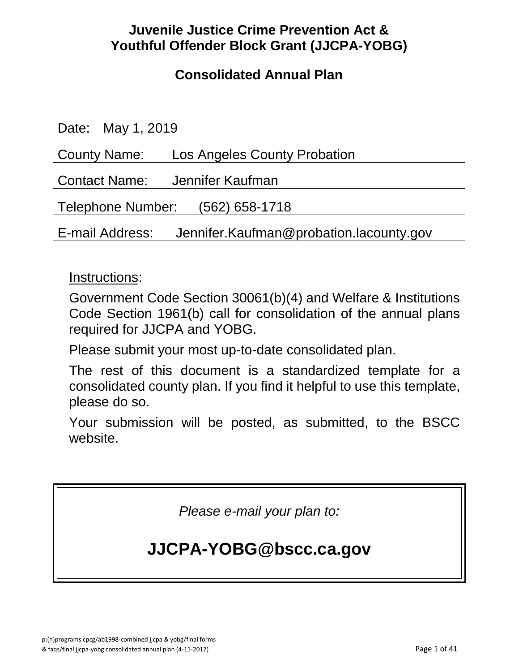# **Juvenile Justice Crime Prevention Act & Youthful Offender Block Grant (JJCPA-YOBG)**

# **Consolidated Annual Plan**

| Date: May 1, 2019                                          |  |  |  |  |
|------------------------------------------------------------|--|--|--|--|
| Los Angeles County Probation<br>County Name:               |  |  |  |  |
| <b>Contact Name:</b><br>Jennifer Kaufman                   |  |  |  |  |
| Telephone Number:<br>$(562)$ 658-1718                      |  |  |  |  |
| Jennifer.Kaufman@probation.lacounty.gov<br>E-mail Address: |  |  |  |  |

# Instructions:

Government Code Section 30061(b)(4) and Welfare & Institutions Code Section 1961(b) call for consolidation of the annual plans required for JJCPA and YOBG.

Please submit your most up-to-date consolidated plan.

The rest of this document is a standardized template for a consolidated county plan. If you find it helpful to use this template, please do so.

Your submission will be posted, as submitted, to the BSCC website.

*Please e-mail your plan to:*

# **JJCPA-YOBG@bscc.ca.gov**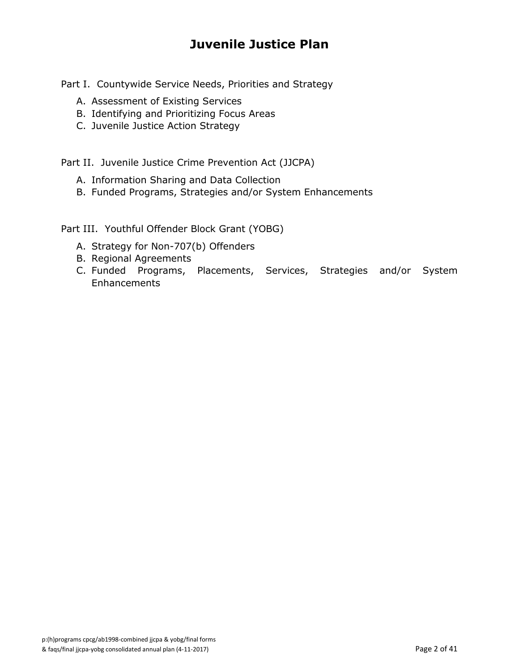# **Juvenile Justice Plan**

Part I. Countywide Service Needs, Priorities and Strategy

- A. Assessment of Existing Services
- B. Identifying and Prioritizing Focus Areas
- C. Juvenile Justice Action Strategy

Part II. Juvenile Justice Crime Prevention Act (JJCPA)

- A. Information Sharing and Data Collection
- B. Funded Programs, Strategies and/or System Enhancements

Part III. Youthful Offender Block Grant (YOBG)

- A. Strategy for Non-707(b) Offenders
- B. Regional Agreements
- C. Funded Programs, Placements, Services, Strategies and/or System **Enhancements**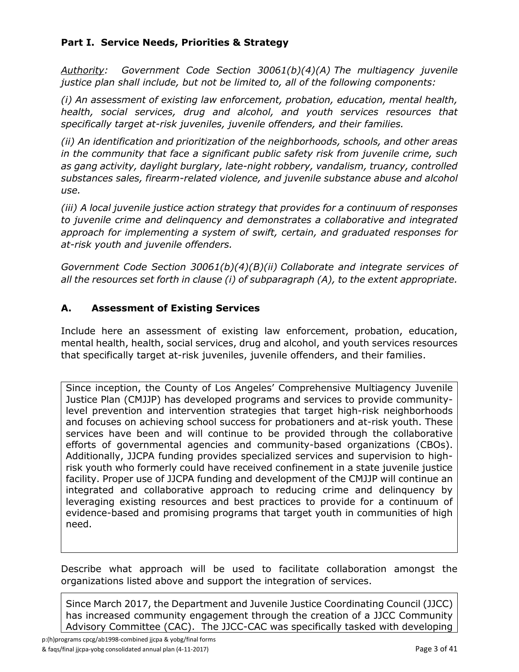# **Part I. Service Needs, Priorities & Strategy**

*Authority: Government Code Section 30061(b)(4)(A) The multiagency juvenile justice plan shall include, but not be limited to, all of the following components:*

*(i) An assessment of existing law enforcement, probation, education, mental health, health, social services, drug and alcohol, and youth services resources that specifically target at-risk juveniles, juvenile offenders, and their families.*

*(ii) An identification and prioritization of the neighborhoods, schools, and other areas in the community that face a significant public safety risk from juvenile crime, such as gang activity, daylight burglary, late-night robbery, vandalism, truancy, controlled substances sales, firearm-related violence, and juvenile substance abuse and alcohol use.*

*(iii) A local juvenile justice action strategy that provides for a continuum of responses to juvenile crime and delinquency and demonstrates a collaborative and integrated approach for implementing a system of swift, certain, and graduated responses for at-risk youth and juvenile offenders.*

*Government Code Section 30061(b)(4)(B)(ii) Collaborate and integrate services of all the resources set forth in clause (i) of subparagraph (A), to the extent appropriate.*

# **A. Assessment of Existing Services**

Include here an assessment of existing law enforcement, probation, education, mental health, health, social services, drug and alcohol, and youth services resources that specifically target at-risk juveniles, juvenile offenders, and their families.

Since inception, the County of Los Angeles' Comprehensive Multiagency Juvenile Justice Plan (CMJJP) has developed programs and services to provide communitylevel prevention and intervention strategies that target high-risk neighborhoods and focuses on achieving school success for probationers and at-risk youth. These services have been and will continue to be provided through the collaborative efforts of governmental agencies and community-based organizations (CBOs). Additionally, JJCPA funding provides specialized services and supervision to highrisk youth who formerly could have received confinement in a state juvenile justice facility. Proper use of JJCPA funding and development of the CMJJP will continue an integrated and collaborative approach to reducing crime and delinquency by leveraging existing resources and best practices to provide for a continuum of evidence-based and promising programs that target youth in communities of high need.

Describe what approach will be used to facilitate collaboration amongst the organizations listed above and support the integration of services.

Since March 2017, the Department and Juvenile Justice Coordinating Council (JJCC) has increased community engagement through the creation of a JJCC Community Advisory Committee (CAC). The JJCC-CAC was specifically tasked with developing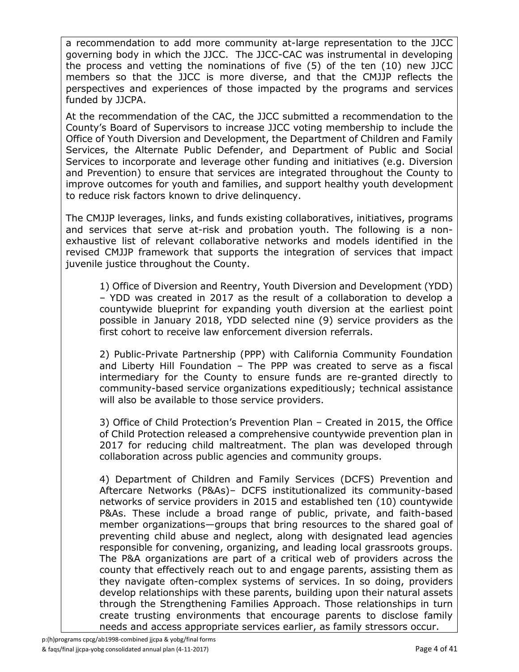a recommendation to add more community at-large representation to the JJCC governing body in which the JJCC. The JJCC-CAC was instrumental in developing the process and vetting the nominations of five (5) of the ten (10) new JJCC members so that the JJCC is more diverse, and that the CMJJP reflects the perspectives and experiences of those impacted by the programs and services funded by JJCPA.

At the recommendation of the CAC, the JJCC submitted a recommendation to the County's Board of Supervisors to increase JJCC voting membership to include the Office of Youth Diversion and Development, the Department of Children and Family Services, the Alternate Public Defender, and Department of Public and Social Services to incorporate and leverage other funding and initiatives (e.g. Diversion and Prevention) to ensure that services are integrated throughout the County to improve outcomes for youth and families, and support healthy youth development to reduce risk factors known to drive delinquency.

The CMJJP leverages, links, and funds existing collaboratives, initiatives, programs and services that serve at-risk and probation youth. The following is a nonexhaustive list of relevant collaborative networks and models identified in the revised CMJJP framework that supports the integration of services that impact juvenile justice throughout the County.

1) Office of Diversion and Reentry, Youth Diversion and Development (YDD) – YDD was created in 2017 as the result of a collaboration to develop a countywide blueprint for expanding youth diversion at the earliest point possible in January 2018, YDD selected nine (9) service providers as the first cohort to receive law enforcement diversion referrals.

2) Public-Private Partnership (PPP) with California Community Foundation and Liberty Hill Foundation – The PPP was created to serve as a fiscal intermediary for the County to ensure funds are re-granted directly to community-based service organizations expeditiously; technical assistance will also be available to those service providers.

3) Office of Child Protection's Prevention Plan – Created in 2015, the Office of Child Protection released a comprehensive countywide prevention plan in 2017 for reducing child maltreatment. The plan was developed through collaboration across public agencies and community groups.

4) Department of Children and Family Services (DCFS) Prevention and Aftercare Networks (P&As)– DCFS institutionalized its community-based networks of service providers in 2015 and established ten (10) countywide P&As. These include a broad range of public, private, and faith-based member organizations—groups that bring resources to the shared goal of preventing child abuse and neglect, along with designated lead agencies responsible for convening, organizing, and leading local grassroots groups. The P&A organizations are part of a critical web of providers across the county that effectively reach out to and engage parents, assisting them as they navigate often-complex systems of services. In so doing, providers develop relationships with these parents, building upon their natural assets through the Strengthening Families Approach. Those relationships in turn create trusting environments that encourage parents to disclose family needs and access appropriate services earlier, as family stressors occur.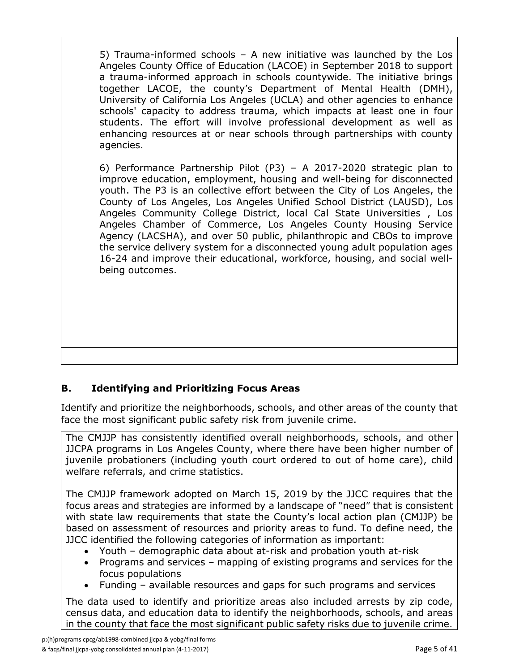5) Trauma-informed schools – A new initiative was launched by the Los Angeles County Office of Education (LACOE) in September 2018 to support a trauma-informed approach in schools countywide. The initiative brings together LACOE, the county's Department of Mental Health (DMH), University of California Los Angeles (UCLA) and other agencies to enhance schools' capacity to address trauma, which impacts at least one in four students. The effort will involve professional development as well as enhancing resources at or near schools through partnerships with county agencies.

6) Performance Partnership Pilot (P3) – A 2017-2020 strategic plan to improve education, employment, housing and well-being for disconnected youth. The P3 is an collective effort between the City of Los Angeles, the County of Los Angeles, Los Angeles Unified School District (LAUSD), Los Angeles Community College District, local Cal State Universities , Los Angeles Chamber of Commerce, Los Angeles County Housing Service Agency (LACSHA), and over 50 public, philanthropic and CBOs to improve the service delivery system for a disconnected young adult population ages 16-24 and improve their educational, workforce, housing, and social wellbeing outcomes.

# **B. Identifying and Prioritizing Focus Areas**

Identify and prioritize the neighborhoods, schools, and other areas of the county that face the most significant public safety risk from juvenile crime.

The CMJJP has consistently identified overall neighborhoods, schools, and other JJCPA programs in Los Angeles County, where there have been higher number of juvenile probationers (including youth court ordered to out of home care), child welfare referrals, and crime statistics.

The CMJJP framework adopted on March 15, 2019 by the JJCC requires that the focus areas and strategies are informed by a landscape of "need" that is consistent with state law requirements that state the County's local action plan (CMJJP) be based on assessment of resources and priority areas to fund. To define need, the JJCC identified the following categories of information as important:

- Youth demographic data about at-risk and probation youth at-risk
- Programs and services mapping of existing programs and services for the focus populations
- Funding available resources and gaps for such programs and services

The data used to identify and prioritize areas also included arrests by zip code, census data, and education data to identify the neighborhoods, schools, and areas in the county that face the most significant public safety risks due to juvenile crime.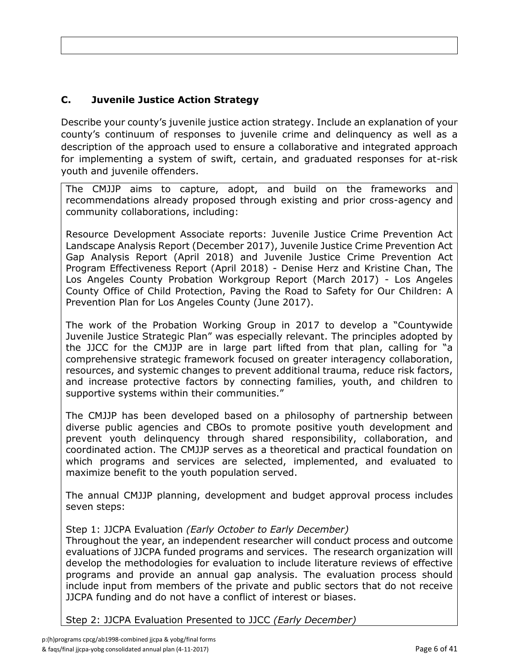# **C. Juvenile Justice Action Strategy**

Describe your county's juvenile justice action strategy. Include an explanation of your county's continuum of responses to juvenile crime and delinquency as well as a description of the approach used to ensure a collaborative and integrated approach for implementing a system of swift, certain, and graduated responses for at-risk youth and juvenile offenders.

The CMJJP aims to capture, adopt, and build on the frameworks and recommendations already proposed through existing and prior cross-agency and community collaborations, including:

Resource Development Associate reports: Juvenile Justice Crime Prevention Act Landscape Analysis Report (December 2017), Juvenile Justice Crime Prevention Act Gap Analysis Report (April 2018) and Juvenile Justice Crime Prevention Act Program Effectiveness Report (April 2018) - Denise Herz and Kristine Chan, The Los Angeles County Probation Workgroup Report (March 2017) - Los Angeles County Office of Child Protection, Paving the Road to Safety for Our Children: A Prevention Plan for Los Angeles County (June 2017).

The work of the Probation Working Group in 2017 to develop a "Countywide Juvenile Justice Strategic Plan" was especially relevant. The principles adopted by the JJCC for the CMJJP are in large part lifted from that plan, calling for "a comprehensive strategic framework focused on greater interagency collaboration, resources, and systemic changes to prevent additional trauma, reduce risk factors, and increase protective factors by connecting families, youth, and children to supportive systems within their communities."

The CMJJP has been developed based on a philosophy of partnership between diverse public agencies and CBOs to promote positive youth development and prevent youth delinquency through shared responsibility, collaboration, and coordinated action. The CMJJP serves as a theoretical and practical foundation on which programs and services are selected, implemented, and evaluated to maximize benefit to the youth population served.

The annual CMJJP planning, development and budget approval process includes seven steps:

#### Step 1: JJCPA Evaluation *(Early October to Early December)*

Throughout the year, an independent researcher will conduct process and outcome evaluations of JJCPA funded programs and services. The research organization will develop the methodologies for evaluation to include literature reviews of effective programs and provide an annual gap analysis. The evaluation process should include input from members of the private and public sectors that do not receive JJCPA funding and do not have a conflict of interest or biases.

Step 2: JJCPA Evaluation Presented to JJCC *(Early December)*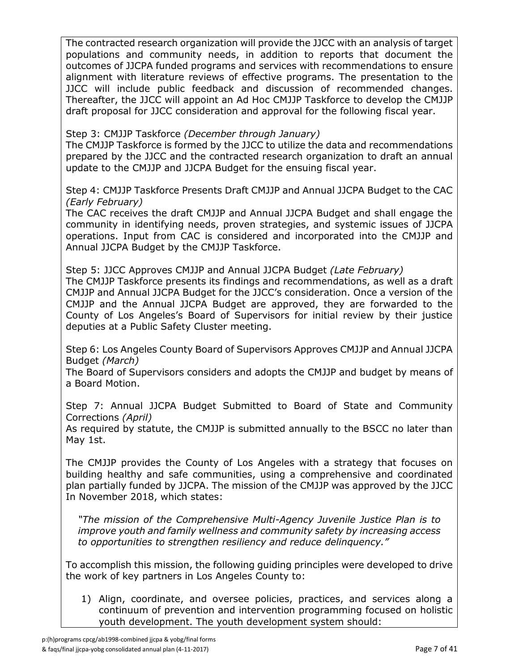The contracted research organization will provide the JJCC with an analysis of target populations and community needs, in addition to reports that document the outcomes of JJCPA funded programs and services with recommendations to ensure alignment with literature reviews of effective programs. The presentation to the JJCC will include public feedback and discussion of recommended changes. Thereafter, the JJCC will appoint an Ad Hoc CMJJP Taskforce to develop the CMJJP draft proposal for JJCC consideration and approval for the following fiscal year.

Step 3: CMJJP Taskforce *(December through January)* 

The CMJJP Taskforce is formed by the JJCC to utilize the data and recommendations prepared by the JJCC and the contracted research organization to draft an annual update to the CMJJP and JJCPA Budget for the ensuing fiscal year.

Step 4: CMJJP Taskforce Presents Draft CMJJP and Annual JJCPA Budget to the CAC *(Early February)* 

The CAC receives the draft CMJJP and Annual JJCPA Budget and shall engage the community in identifying needs, proven strategies, and systemic issues of JJCPA operations. Input from CAC is considered and incorporated into the CMJJP and Annual JJCPA Budget by the CMJJP Taskforce.

Step 5: JJCC Approves CMJJP and Annual JJCPA Budget *(Late February)*  The CMJJP Taskforce presents its findings and recommendations, as well as a draft CMJJP and Annual JJCPA Budget for the JJCC's consideration. Once a version of the CMJJP and the Annual JJCPA Budget are approved, they are forwarded to the County of Los Angeles's Board of Supervisors for initial review by their justice deputies at a Public Safety Cluster meeting.

Step 6: Los Angeles County Board of Supervisors Approves CMJJP and Annual JJCPA Budget *(March)*

The Board of Supervisors considers and adopts the CMJJP and budget by means of a Board Motion.

Step 7: Annual JJCPA Budget Submitted to Board of State and Community Corrections *(April)*

As required by statute, the CMJJP is submitted annually to the BSCC no later than May 1st.

The CMJJP provides the County of Los Angeles with a strategy that focuses on building healthy and safe communities, using a comprehensive and coordinated plan partially funded by JJCPA. The mission of the CMJJP was approved by the JJCC In November 2018, which states:

*"The mission of the Comprehensive Multi-Agency Juvenile Justice Plan is to improve youth and family wellness and community safety by increasing access to opportunities to strengthen resiliency and reduce delinquency."*

To accomplish this mission, the following guiding principles were developed to drive the work of key partners in Los Angeles County to:

1) Align, coordinate, and oversee policies, practices, and services along a continuum of prevention and intervention programming focused on holistic youth development. The youth development system should: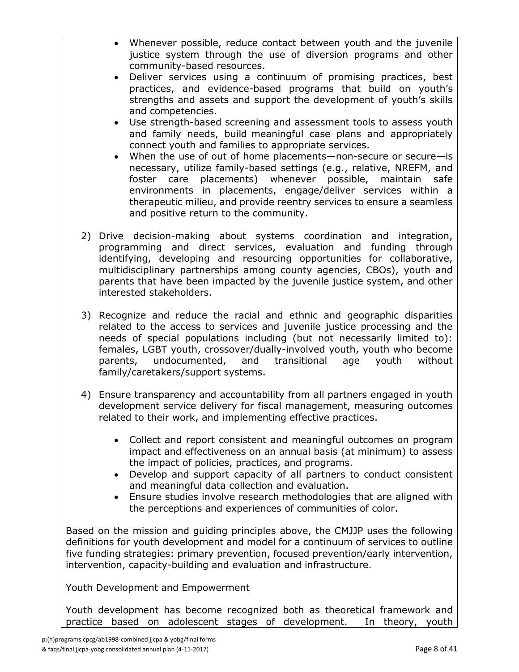- Whenever possible, reduce contact between youth and the juvenile justice system through the use of diversion programs and other community-based resources.
- Deliver services using a continuum of promising practices, best practices, and evidence-based programs that build on youth's strengths and assets and support the development of youth's skills and competencies.
- Use strength-based screening and assessment tools to assess youth and family needs, build meaningful case plans and appropriately connect youth and families to appropriate services.
- When the use of out of home placements—non-secure or secure—is necessary, utilize family-based settings (e.g., relative, NREFM, and foster care placements) whenever possible, maintain safe environments in placements, engage/deliver services within a therapeutic milieu, and provide reentry services to ensure a seamless and positive return to the community.
- 2) Drive decision-making about systems coordination and integration, programming and direct services, evaluation and funding through identifying, developing and resourcing opportunities for collaborative, multidisciplinary partnerships among county agencies, CBOs), youth and parents that have been impacted by the juvenile justice system, and other interested stakeholders.
- 3) Recognize and reduce the racial and ethnic and geographic disparities related to the access to services and juvenile justice processing and the needs of special populations including (but not necessarily limited to): females, LGBT youth, crossover/dually-involved youth, youth who become parents, undocumented, and transitional age youth without family/caretakers/support systems.
- 4) Ensure transparency and accountability from all partners engaged in youth development service delivery for fiscal management, measuring outcomes related to their work, and implementing effective practices.
	- Collect and report consistent and meaningful outcomes on program impact and effectiveness on an annual basis (at minimum) to assess the impact of policies, practices, and programs.
	- Develop and support capacity of all partners to conduct consistent and meaningful data collection and evaluation.
	- Ensure studies involve research methodologies that are aligned with the perceptions and experiences of communities of color.

Based on the mission and guiding principles above, the CMJJP uses the following definitions for youth development and model for a continuum of services to outline five funding strategies: primary prevention, focused prevention/early intervention, intervention, capacity-building and evaluation and infrastructure.

Youth Development and Empowerment

Youth development has become recognized both as theoretical framework and practice based on adolescent stages of development. In theory, youth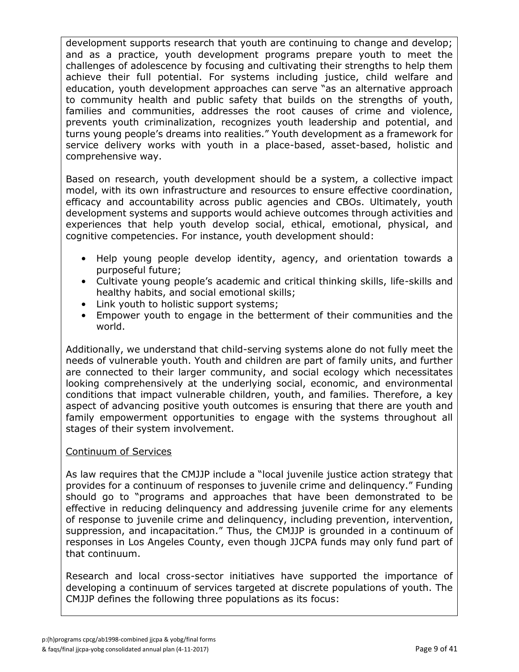development supports research that youth are continuing to change and develop; and as a practice, youth development programs prepare youth to meet the challenges of adolescence by focusing and cultivating their strengths to help them achieve their full potential. For systems including justice, child welfare and education, youth development approaches can serve "as an alternative approach to community health and public safety that builds on the strengths of youth, families and communities, addresses the root causes of crime and violence, prevents youth criminalization, recognizes youth leadership and potential, and turns young people's dreams into realities." Youth development as a framework for service delivery works with youth in a place-based, asset-based, holistic and comprehensive way.

Based on research, youth development should be a system, a collective impact model, with its own infrastructure and resources to ensure effective coordination, efficacy and accountability across public agencies and CBOs. Ultimately, youth development systems and supports would achieve outcomes through activities and experiences that help youth develop social, ethical, emotional, physical, and cognitive competencies. For instance, youth development should:

- Help young people develop identity, agency, and orientation towards a purposeful future;
- Cultivate young people's academic and critical thinking skills, life-skills and healthy habits, and social emotional skills;
- Link youth to holistic support systems;
- Empower youth to engage in the betterment of their communities and the world.

Additionally, we understand that child-serving systems alone do not fully meet the needs of vulnerable youth. Youth and children are part of family units, and further are connected to their larger community, and social ecology which necessitates looking comprehensively at the underlying social, economic, and environmental conditions that impact vulnerable children, youth, and families. Therefore, a key aspect of advancing positive youth outcomes is ensuring that there are youth and family empowerment opportunities to engage with the systems throughout all stages of their system involvement.

#### Continuum of Services

As law requires that the CMJJP include a "local juvenile justice action strategy that provides for a continuum of responses to juvenile crime and delinquency." Funding should go to "programs and approaches that have been demonstrated to be effective in reducing delinquency and addressing juvenile crime for any elements of response to juvenile crime and delinquency, including prevention, intervention, suppression, and incapacitation." Thus, the CMJJP is grounded in a continuum of responses in Los Angeles County, even though JJCPA funds may only fund part of that continuum.

Research and local cross-sector initiatives have supported the importance of developing a continuum of services targeted at discrete populations of youth. The CMJJP defines the following three populations as its focus: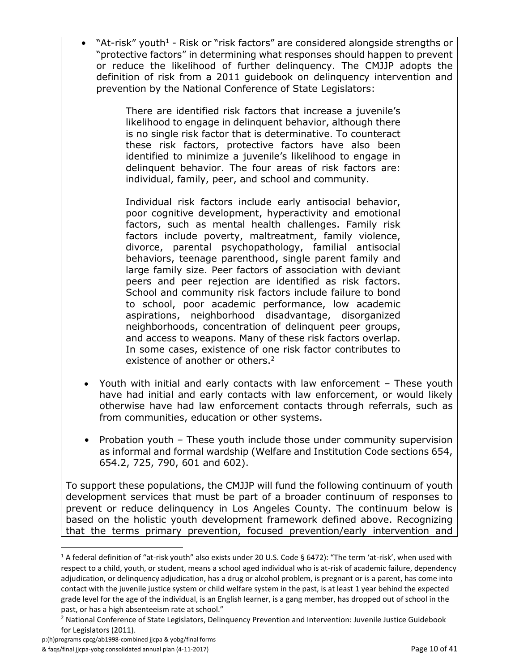• "At-risk" youth<sup>1</sup> - Risk or "risk factors" are considered alongside strengths or "protective factors" in determining what responses should happen to prevent or reduce the likelihood of further delinquency. The CMJJP adopts the definition of risk from a 2011 guidebook on delinquency intervention and prevention by the National Conference of State Legislators:

> There are identified risk factors that increase a juvenile's likelihood to engage in delinquent behavior, although there is no single risk factor that is determinative. To counteract these risk factors, protective factors have also been identified to minimize a juvenile's likelihood to engage in delinquent behavior. The four areas of risk factors are: individual, family, peer, and school and community.

> Individual risk factors include early antisocial behavior, poor cognitive development, hyperactivity and emotional factors, such as mental health challenges. Family risk factors include poverty, maltreatment, family violence, divorce, parental psychopathology, familial antisocial behaviors, teenage parenthood, single parent family and large family size. Peer factors of association with deviant peers and peer rejection are identified as risk factors. School and community risk factors include failure to bond to school, poor academic performance, low academic aspirations, neighborhood disadvantage, disorganized neighborhoods, concentration of delinquent peer groups, and access to weapons. Many of these risk factors overlap. In some cases, existence of one risk factor contributes to existence of another or others.<sup>2</sup>

- Youth with initial and early contacts with law enforcement These youth have had initial and early contacts with law enforcement, or would likely otherwise have had law enforcement contacts through referrals, such as from communities, education or other systems.
- Probation youth These youth include those under community supervision as informal and formal wardship (Welfare and Institution Code sections 654, 654.2, 725, 790, 601 and 602).

To support these populations, the CMJJP will fund the following continuum of youth development services that must be part of a broader continuum of responses to prevent or reduce delinquency in Los Angeles County. The continuum below is based on the holistic youth development framework defined above. Recognizing that the terms primary prevention, focused prevention/early intervention and

& faqs/final jjcpa-yobg consolidated annual plan (4-11-2017) Page 10 of 41

 $\overline{\phantom{a}}$ 

<sup>1</sup> A federal definition of "at-risk youth" also exists under 20 U.S. Code § 6472): "The term 'at-risk', when used with respect to a child, youth, or student, means a school aged individual who is at-risk of academic failure, dependency adjudication, or delinquency adjudication, has a drug or alcohol problem, is pregnant or is a parent, has come into contact with the juvenile justice system or child welfare system in the past, is at least 1 year behind the expected grade level for the age of the individual, is an English learner, is a gang member, has dropped out of school in the past, or has a high absenteeism rate at school."

<sup>&</sup>lt;sup>2</sup> National Conference of State Legislators, Delinquency Prevention and Intervention: Juvenile Justice Guidebook for Legislators (2011).

p:(h)programs cpcg/ab1998-combined jjcpa & yobg/final forms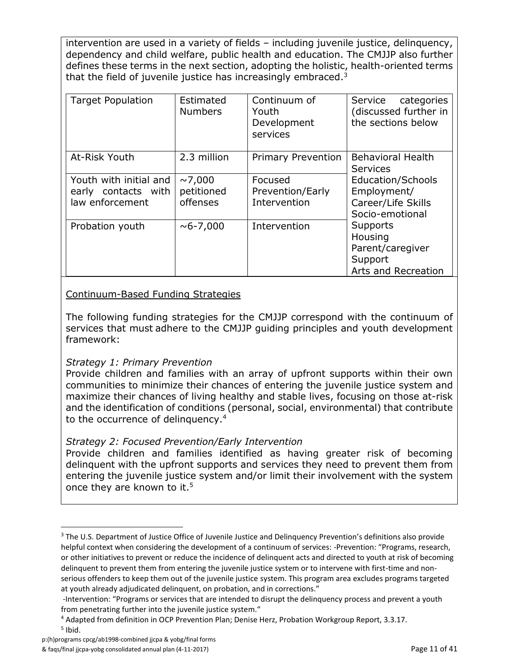intervention are used in a variety of fields – including juvenile justice, delinquency, dependency and child welfare, public health and education. The CMJJP also further defines these terms in the next section, adopting the holistic, health-oriented terms that the field of juvenile justice has increasingly embraced.<sup>3</sup>

| <b>Target Population</b>                                         | Estimated<br><b>Numbers</b>            | Continuum of<br>Youth<br>Development<br>services | Service<br>categories<br>(discussed further in<br>the sections below                                                                                   |
|------------------------------------------------------------------|----------------------------------------|--------------------------------------------------|--------------------------------------------------------------------------------------------------------------------------------------------------------|
| At-Risk Youth                                                    | 2.3 million                            | <b>Primary Prevention</b>                        | <b>Behavioral Health</b><br><b>Services</b>                                                                                                            |
| Youth with initial and<br>early contacts with<br>law enforcement | $\sim$ 7,000<br>petitioned<br>offenses | Focused<br>Prevention/Early<br>Intervention      | Education/Schools<br>Employment/<br>Career/Life Skills<br>Socio-emotional<br>Supports<br>Housing<br>Parent/caregiver<br>Support<br>Arts and Recreation |
| Probation youth                                                  | $~0.6 - 7,000$                         | Intervention                                     |                                                                                                                                                        |

#### Continuum-Based Funding Strategies

The following funding strategies for the CMJJP correspond with the continuum of services that must adhere to the CMJJP guiding principles and youth development framework:

#### *Strategy 1: Primary Prevention*

Provide children and families with an array of upfront supports within their own communities to minimize their chances of entering the juvenile justice system and maximize their chances of living healthy and stable lives, focusing on those at-risk and the identification of conditions (personal, social, environmental) that contribute to the occurrence of delinguency.<sup>4</sup>

#### *Strategy 2: Focused Prevention/Early Intervention*

Provide children and families identified as having greater risk of becoming delinquent with the upfront supports and services they need to prevent them from entering the juvenile justice system and/or limit their involvement with the system once they are known to it.<sup>5</sup>

 $\overline{a}$ 

<sup>&</sup>lt;sup>3</sup> The U.S. Department of Justice Office of Juvenile Justice and Delinquency Prevention's definitions also provide helpful context when considering the development of a continuum of services: -Prevention: "Programs, research, or other initiatives to prevent or reduce the incidence of delinquent acts and directed to youth at risk of becoming delinquent to prevent them from entering the juvenile justice system or to intervene with first-time and nonserious offenders to keep them out of the juvenile justice system. This program area excludes programs targeted at youth already adjudicated delinquent, on probation, and in corrections."

<sup>-</sup>Intervention: "Programs or services that are intended to disrupt the delinquency process and prevent a youth from penetrating further into the juvenile justice system."

<sup>4</sup> Adapted from definition in OCP Prevention Plan; Denise Herz, Probation Workgroup Report, 3.3.17.

<sup>&</sup>lt;sup>5</sup> Ibid.

p:(h)programs cpcg/ab1998-combined jjcpa & yobg/final forms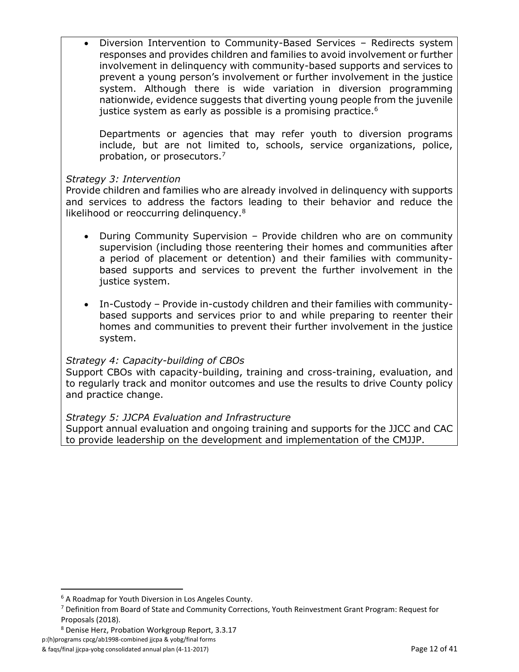• Diversion Intervention to Community-Based Services – Redirects system responses and provides children and families to avoid involvement or further involvement in delinquency with community-based supports and services to prevent a young person's involvement or further involvement in the justice system. Although there is wide variation in diversion programming nationwide, evidence suggests that diverting young people from the juvenile justice system as early as possible is a promising practice.<sup>6</sup>

Departments or agencies that may refer youth to diversion programs include, but are not limited to, schools, service organizations, police, probation, or prosecutors.<sup>7</sup>

#### *Strategy 3: Intervention*

Provide children and families who are already involved in delinquency with supports and services to address the factors leading to their behavior and reduce the likelihood or reoccurring delinquency.<sup>8</sup>

- During Community Supervision Provide children who are on community supervision (including those reentering their homes and communities after a period of placement or detention) and their families with communitybased supports and services to prevent the further involvement in the justice system.
- In-Custody Provide in-custody children and their families with communitybased supports and services prior to and while preparing to reenter their homes and communities to prevent their further involvement in the justice system.

#### *Strategy 4: Capacity-building of CBOs*

Support CBOs with capacity-building, training and cross-training, evaluation, and to regularly track and monitor outcomes and use the results to drive County policy and practice change.

#### *Strategy 5: JJCPA Evaluation and Infrastructure*

Support annual evaluation and ongoing training and supports for the JJCC and CAC to provide leadership on the development and implementation of the CMJJP.

p:(h)programs cpcg/ab1998-combined jjcpa & yobg/final forms

l

<sup>&</sup>lt;sup>6</sup> A Roadmap for Youth Diversion in Los Angeles County.

<sup>&</sup>lt;sup>7</sup> Definition from Board of State and Community Corrections, Youth Reinvestment Grant Program: Request for Proposals (2018).

<sup>8</sup> Denise Herz, Probation Workgroup Report, 3.3.17

<sup>&</sup>amp; faqs/final jjcpa-yobg consolidated annual plan (4-11-2017) Page 12 of 41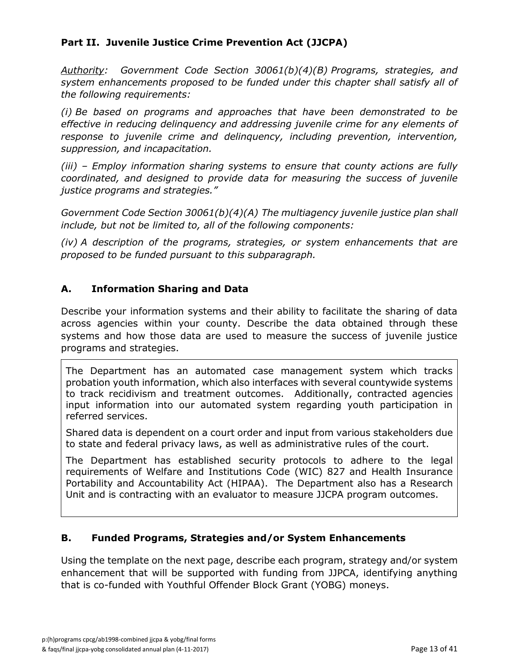# **Part II. Juvenile Justice Crime Prevention Act (JJCPA)**

*Authority: Government Code Section 30061(b)(4)(B) Programs, strategies, and system enhancements proposed to be funded under this chapter shall satisfy all of the following requirements:*

*(i) Be based on programs and approaches that have been demonstrated to be effective in reducing delinquency and addressing juvenile crime for any elements of response to juvenile crime and delinquency, including prevention, intervention, suppression, and incapacitation.*

*(iii) – Employ information sharing systems to ensure that county actions are fully coordinated, and designed to provide data for measuring the success of juvenile justice programs and strategies."*

*Government Code Section 30061(b)(4)(A) The multiagency juvenile justice plan shall include, but not be limited to, all of the following components:*

*(iv) A description of the programs, strategies, or system enhancements that are proposed to be funded pursuant to this subparagraph.*

# **A. Information Sharing and Data**

Describe your information systems and their ability to facilitate the sharing of data across agencies within your county. Describe the data obtained through these systems and how those data are used to measure the success of juvenile justice programs and strategies.

The Department has an automated case management system which tracks probation youth information, which also interfaces with several countywide systems to track recidivism and treatment outcomes. Additionally, contracted agencies input information into our automated system regarding youth participation in referred services.

Shared data is dependent on a court order and input from various stakeholders due to state and federal privacy laws, as well as administrative rules of the court.

The Department has established security protocols to adhere to the legal requirements of Welfare and Institutions Code (WIC) 827 and Health Insurance Portability and Accountability Act (HIPAA). The Department also has a Research Unit and is contracting with an evaluator to measure JJCPA program outcomes.

#### **B. Funded Programs, Strategies and/or System Enhancements**

Using the template on the next page, describe each program, strategy and/or system enhancement that will be supported with funding from JJPCA, identifying anything that is co-funded with Youthful Offender Block Grant (YOBG) moneys.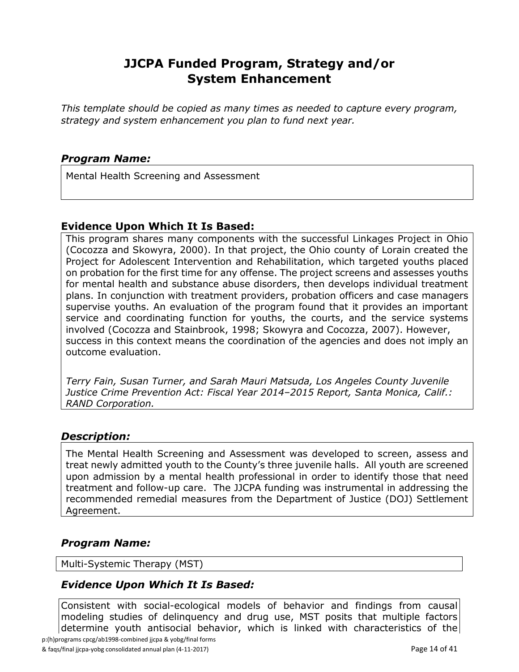# **JJCPA Funded Program, Strategy and/or System Enhancement**

*This template should be copied as many times as needed to capture every program, strategy and system enhancement you plan to fund next year.*

#### *Program Name:*

Mental Health Screening and Assessment

#### **Evidence Upon Which It Is Based:**

This program shares many components with the successful Linkages Project in Ohio (Cocozza and Skowyra, 2000). In that project, the Ohio county of Lorain created the Project for Adolescent Intervention and Rehabilitation, which targeted youths placed on probation for the first time for any offense. The project screens and assesses youths for mental health and substance abuse disorders, then develops individual treatment plans. In conjunction with treatment providers, probation officers and case managers supervise youths. An evaluation of the program found that it provides an important service and coordinating function for youths, the courts, and the service systems involved (Cocozza and Stainbrook, 1998; Skowyra and Cocozza, 2007). However, success in this context means the coordination of the agencies and does not imply an outcome evaluation.

*Terry Fain, Susan Turner, and Sarah Mauri Matsuda, Los Angeles County Juvenile Justice Crime Prevention Act: Fiscal Year 2014–2015 Report, Santa Monica, Calif.: RAND Corporation.*

#### *Description:*

The Mental Health Screening and Assessment was developed to screen, assess and treat newly admitted youth to the County's three juvenile halls. All youth are screened upon admission by a mental health professional in order to identify those that need treatment and follow-up care. The JJCPA funding was instrumental in addressing the recommended remedial measures from the Department of Justice (DOJ) Settlement Agreement.

# *Program Name:*

Multi-Systemic Therapy (MST)

# *Evidence Upon Which It Is Based:*

p:(h)programs cpcg/ab1998-combined jjcpa & yobg/final forms Consistent with social-ecological models of behavior and findings from causal modeling studies of delinquency and drug use, MST posits that multiple factors determine youth antisocial behavior, which is linked with characteristics of the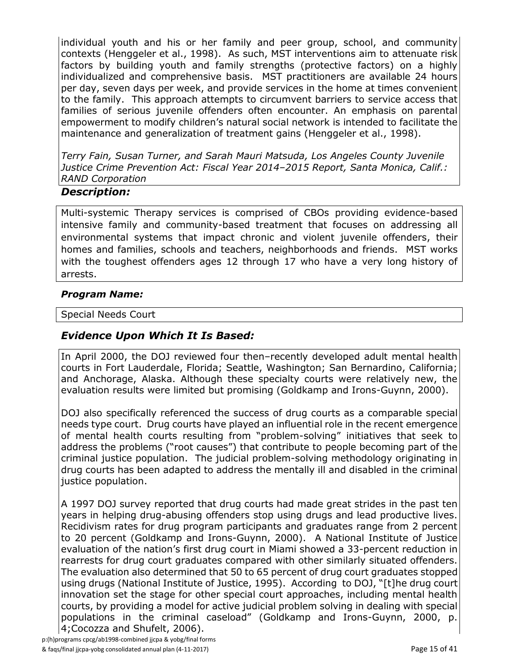individual youth and his or her family and peer group, school, and community contexts (Henggeler et al., 1998). As such, MST interventions aim to attenuate risk factors by building youth and family strengths (protective factors) on a highly individualized and comprehensive basis. MST practitioners are available 24 hours per day, seven days per week, and provide services in the home at times convenient to the family. This approach attempts to circumvent barriers to service access that families of serious juvenile offenders often encounter. An emphasis on parental empowerment to modify children's natural social network is intended to facilitate the maintenance and generalization of treatment gains (Henggeler et al., 1998).

*Terry Fain, Susan Turner, and Sarah Mauri Matsuda, Los Angeles County Juvenile Justice Crime Prevention Act: Fiscal Year 2014–2015 Report, Santa Monica, Calif.: RAND Corporation*

#### *Description:*

Multi-systemic Therapy services is comprised of CBOs providing evidence-based intensive family and community-based treatment that focuses on addressing all environmental systems that impact chronic and violent juvenile offenders, their homes and families, schools and teachers, neighborhoods and friends. MST works with the toughest offenders ages 12 through 17 who have a very long history of arrests.

#### *Program Name:*

Special Needs Court

# *Evidence Upon Which It Is Based:*

In April 2000, the DOJ reviewed four then–recently developed adult mental health courts in Fort Lauderdale, Florida; Seattle, Washington; San Bernardino, California; and Anchorage, Alaska. Although these specialty courts were relatively new, the evaluation results were limited but promising (Goldkamp and Irons-Guynn, 2000).

DOJ also specifically referenced the success of drug courts as a comparable special needs type court. Drug courts have played an influential role in the recent emergence of mental health courts resulting from "problem-solving" initiatives that seek to address the problems ("root causes") that contribute to people becoming part of the criminal justice population. The judicial problem-solving methodology originating in drug courts has been adapted to address the mentally ill and disabled in the criminal justice population.

A 1997 DOJ survey reported that drug courts had made great strides in the past ten years in helping drug-abusing offenders stop using drugs and lead productive lives. Recidivism rates for drug program participants and graduates range from 2 percent to 20 percent (Goldkamp and Irons-Guynn, 2000). A National Institute of Justice evaluation of the nation's first drug court in Miami showed a 33-percent reduction in rearrests for drug court graduates compared with other similarly situated offenders. The evaluation also determined that 50 to 65 percent of drug court graduates stopped using drugs (National Institute of Justice, 1995). According to DOJ, "[t]he drug court innovation set the stage for other special court approaches, including mental health courts, by providing a model for active judicial problem solving in dealing with special populations in the criminal caseload" (Goldkamp and Irons-Guynn, 2000, p. 4;Cocozza and Shufelt, 2006).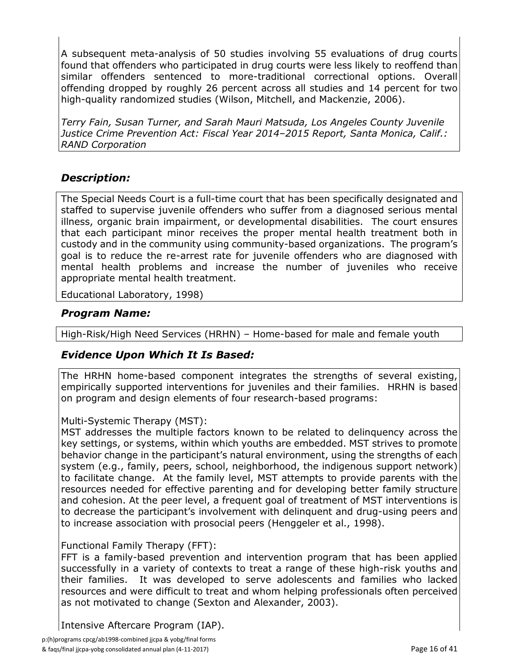A subsequent meta-analysis of 50 studies involving 55 evaluations of drug courts found that offenders who participated in drug courts were less likely to reoffend than similar offenders sentenced to more-traditional correctional options. Overall offending dropped by roughly 26 percent across all studies and 14 percent for two high-quality randomized studies (Wilson, Mitchell, and Mackenzie, 2006).

*Terry Fain, Susan Turner, and Sarah Mauri Matsuda, Los Angeles County Juvenile Justice Crime Prevention Act: Fiscal Year 2014–2015 Report, Santa Monica, Calif.: RAND Corporation*

# *Description:*

The Special Needs Court is a full-time court that has been specifically designated and staffed to supervise juvenile offenders who suffer from a diagnosed serious mental illness, organic brain impairment, or developmental disabilities. The court ensures that each participant minor receives the proper mental health treatment both in custody and in the community using community-based organizations. The program's goal is to reduce the re-arrest rate for juvenile offenders who are diagnosed with mental health problems and increase the number of juveniles who receive appropriate mental health treatment.

Educational Laboratory, 1998)

#### *Program Name:*

High-Risk/High Need Services (HRHN) – Home-based for male and female youth

# *Evidence Upon Which It Is Based:*

The HRHN home-based component integrates the strengths of several existing, empirically supported interventions for juveniles and their families. HRHN is based on program and design elements of four research-based programs:

#### Multi-Systemic Therapy (MST):

MST addresses the multiple factors known to be related to delinquency across the key settings, or systems, within which youths are embedded. MST strives to promote behavior change in the participant's natural environment, using the strengths of each system (e.g., family, peers, school, neighborhood, the indigenous support network) to facilitate change. At the family level, MST attempts to provide parents with the resources needed for effective parenting and for developing better family structure and cohesion. At the peer level, a frequent goal of treatment of MST interventions is to decrease the participant's involvement with delinquent and drug-using peers and to increase association with prosocial peers (Henggeler et al., 1998).

#### Functional Family Therapy (FFT):

FFT is a family-based prevention and intervention program that has been applied successfully in a variety of contexts to treat a range of these high-risk youths and their families. It was developed to serve adolescents and families who lacked resources and were difficult to treat and whom helping professionals often perceived as not motivated to change (Sexton and Alexander, 2003).

Intensive Aftercare Program (IAP).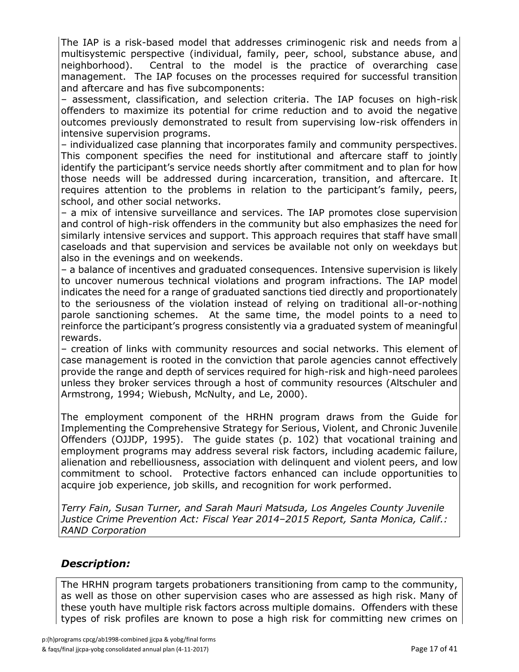The IAP is a risk-based model that addresses criminogenic risk and needs from a multisystemic perspective (individual, family, peer, school, substance abuse, and neighborhood). Central to the model is the practice of overarching case management. The IAP focuses on the processes required for successful transition and aftercare and has five subcomponents:

– assessment, classification, and selection criteria. The IAP focuses on high-risk offenders to maximize its potential for crime reduction and to avoid the negative outcomes previously demonstrated to result from supervising low-risk offenders in intensive supervision programs.

– individualized case planning that incorporates family and community perspectives. This component specifies the need for institutional and aftercare staff to jointly identify the participant's service needs shortly after commitment and to plan for how those needs will be addressed during incarceration, transition, and aftercare. It requires attention to the problems in relation to the participant's family, peers, school, and other social networks.

– a mix of intensive surveillance and services. The IAP promotes close supervision and control of high-risk offenders in the community but also emphasizes the need for similarly intensive services and support. This approach requires that staff have small caseloads and that supervision and services be available not only on weekdays but also in the evenings and on weekends.

– a balance of incentives and graduated consequences. Intensive supervision is likely to uncover numerous technical violations and program infractions. The IAP model indicates the need for a range of graduated sanctions tied directly and proportionately to the seriousness of the violation instead of relying on traditional all-or-nothing parole sanctioning schemes. At the same time, the model points to a need to reinforce the participant's progress consistently via a graduated system of meaningful rewards.

– creation of links with community resources and social networks. This element of case management is rooted in the conviction that parole agencies cannot effectively provide the range and depth of services required for high-risk and high-need parolees unless they broker services through a host of community resources (Altschuler and Armstrong, 1994; Wiebush, McNulty, and Le, 2000).

The employment component of the HRHN program draws from the Guide for Implementing the Comprehensive Strategy for Serious, Violent, and Chronic Juvenile Offenders (OJJDP, 1995). The guide states (p. 102) that vocational training and employment programs may address several risk factors, including academic failure, alienation and rebelliousness, association with delinquent and violent peers, and low commitment to school. Protective factors enhanced can include opportunities to acquire job experience, job skills, and recognition for work performed.

*Terry Fain, Susan Turner, and Sarah Mauri Matsuda, Los Angeles County Juvenile Justice Crime Prevention Act: Fiscal Year 2014–2015 Report, Santa Monica, Calif.: RAND Corporation*

# *Description:*

The HRHN program targets probationers transitioning from camp to the community, as well as those on other supervision cases who are assessed as high risk. Many of these youth have multiple risk factors across multiple domains. Offenders with these types of risk profiles are known to pose a high risk for committing new crimes on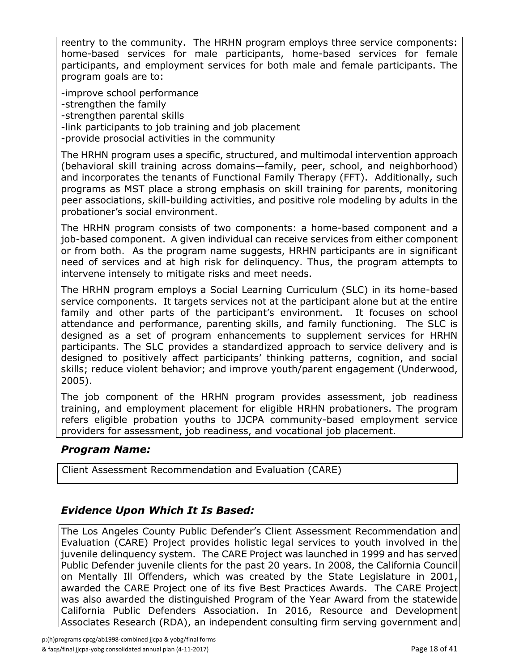reentry to the community. The HRHN program employs three service components: home-based services for male participants, home-based services for female participants, and employment services for both male and female participants. The program goals are to:

-improve school performance -strengthen the family -strengthen parental skills -link participants to job training and job placement -provide prosocial activities in the community

The HRHN program uses a specific, structured, and multimodal intervention approach (behavioral skill training across domains—family, peer, school, and neighborhood) and incorporates the tenants of Functional Family Therapy (FFT). Additionally, such programs as MST place a strong emphasis on skill training for parents, monitoring peer associations, skill-building activities, and positive role modeling by adults in the probationer's social environment.

The HRHN program consists of two components: a home-based component and a job-based component. A given individual can receive services from either component or from both. As the program name suggests, HRHN participants are in significant need of services and at high risk for delinquency. Thus, the program attempts to intervene intensely to mitigate risks and meet needs.

The HRHN program employs a Social Learning Curriculum (SLC) in its home-based service components. It targets services not at the participant alone but at the entire family and other parts of the participant's environment. It focuses on school attendance and performance, parenting skills, and family functioning. The SLC is designed as a set of program enhancements to supplement services for HRHN participants. The SLC provides a standardized approach to service delivery and is designed to positively affect participants' thinking patterns, cognition, and social skills; reduce violent behavior; and improve youth/parent engagement (Underwood, 2005).

The job component of the HRHN program provides assessment, job readiness training, and employment placement for eligible HRHN probationers. The program refers eligible probation youths to JJCPA community-based employment service providers for assessment, job readiness, and vocational job placement.

# *Program Name:*

Client Assessment Recommendation and Evaluation (CARE)

# *Evidence Upon Which It Is Based:*

The Los Angeles County Public Defender's Client Assessment Recommendation and Evaluation (CARE) Project provides holistic legal services to youth involved in the juvenile delinquency system. The CARE Project was launched in 1999 and has served Public Defender juvenile clients for the past 20 years. In 2008, the California Council on Mentally Ill Offenders, which was created by the State Legislature in 2001, awarded the CARE Project one of its five Best Practices Awards. The CARE Project was also awarded the distinguished Program of the Year Award from the statewide California Public Defenders Association. In 2016, Resource and Development Associates Research (RDA), an independent consulting firm serving government and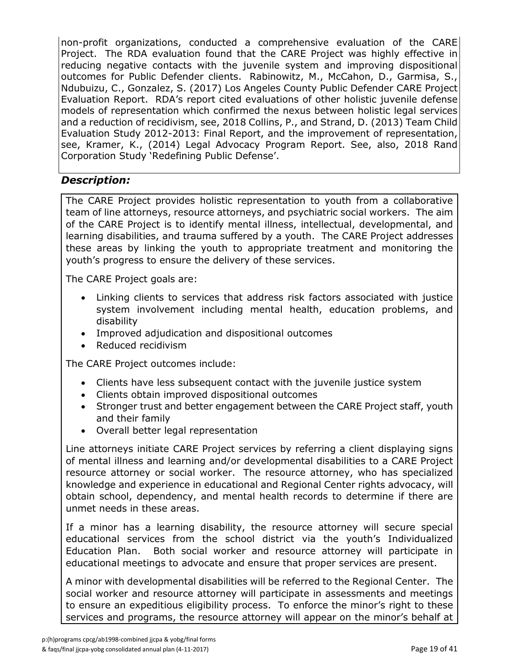non-profit organizations, conducted a comprehensive evaluation of the CARE Project. The RDA evaluation found that the CARE Project was highly effective in reducing negative contacts with the juvenile system and improving dispositional outcomes for Public Defender clients. Rabinowitz, M., McCahon, D., Garmisa, S., Ndubuizu, C., Gonzalez, S. (2017) Los Angeles County Public Defender CARE Project Evaluation Report. RDA's report cited evaluations of other holistic juvenile defense models of representation which confirmed the nexus between holistic legal services and a reduction of recidivism, see, 2018 Collins, P., and Strand, D. (2013) Team Child Evaluation Study 2012-2013: Final Report, and the improvement of representation, see, Kramer, K., (2014) Legal Advocacy Program Report. See, also, 2018 Rand Corporation Study 'Redefining Public Defense'.

# *Description:*

The CARE Project provides holistic representation to youth from a collaborative team of line attorneys, resource attorneys, and psychiatric social workers. The aim of the CARE Project is to identify mental illness, intellectual, developmental, and learning disabilities, and trauma suffered by a youth. The CARE Project addresses these areas by linking the youth to appropriate treatment and monitoring the youth's progress to ensure the delivery of these services.

The CARE Project goals are:

- Linking clients to services that address risk factors associated with justice system involvement including mental health, education problems, and disability
- Improved adjudication and dispositional outcomes
- Reduced recidivism

The CARE Project outcomes include:

- Clients have less subsequent contact with the juvenile justice system
- Clients obtain improved dispositional outcomes
- Stronger trust and better engagement between the CARE Project staff, youth and their family
- Overall better legal representation

Line attorneys initiate CARE Project services by referring a client displaying signs of mental illness and learning and/or developmental disabilities to a CARE Project resource attorney or social worker. The resource attorney, who has specialized knowledge and experience in educational and Regional Center rights advocacy, will obtain school, dependency, and mental health records to determine if there are unmet needs in these areas.

If a minor has a learning disability, the resource attorney will secure special educational services from the school district via the youth's Individualized Education Plan. Both social worker and resource attorney will participate in educational meetings to advocate and ensure that proper services are present.

A minor with developmental disabilities will be referred to the Regional Center. The social worker and resource attorney will participate in assessments and meetings to ensure an expeditious eligibility process. To enforce the minor's right to these services and programs, the resource attorney will appear on the minor's behalf at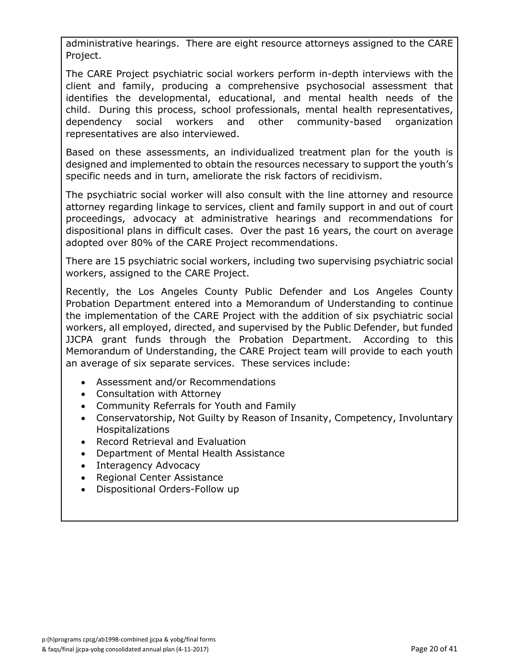administrative hearings. There are eight resource attorneys assigned to the CARE Project.

The CARE Project psychiatric social workers perform in-depth interviews with the client and family, producing a comprehensive psychosocial assessment that identifies the developmental, educational, and mental health needs of the child. During this process, school professionals, mental health representatives, dependency social workers and other community-based organization representatives are also interviewed.

Based on these assessments, an individualized treatment plan for the youth is designed and implemented to obtain the resources necessary to support the youth's specific needs and in turn, ameliorate the risk factors of recidivism.

The psychiatric social worker will also consult with the line attorney and resource attorney regarding linkage to services, client and family support in and out of court proceedings, advocacy at administrative hearings and recommendations for dispositional plans in difficult cases. Over the past 16 years, the court on average adopted over 80% of the CARE Project recommendations.

There are 15 psychiatric social workers, including two supervising psychiatric social workers, assigned to the CARE Project.

Recently, the Los Angeles County Public Defender and Los Angeles County Probation Department entered into a Memorandum of Understanding to continue the implementation of the CARE Project with the addition of six psychiatric social workers, all employed, directed, and supervised by the Public Defender, but funded JJCPA grant funds through the Probation Department. According to this Memorandum of Understanding, the CARE Project team will provide to each youth an average of six separate services. These services include:

- Assessment and/or Recommendations
- Consultation with Attorney
- Community Referrals for Youth and Family
- Conservatorship, Not Guilty by Reason of Insanity, Competency, Involuntary Hospitalizations
- Record Retrieval and Evaluation
- Department of Mental Health Assistance
- Interagency Advocacy
- Regional Center Assistance
- Dispositional Orders-Follow up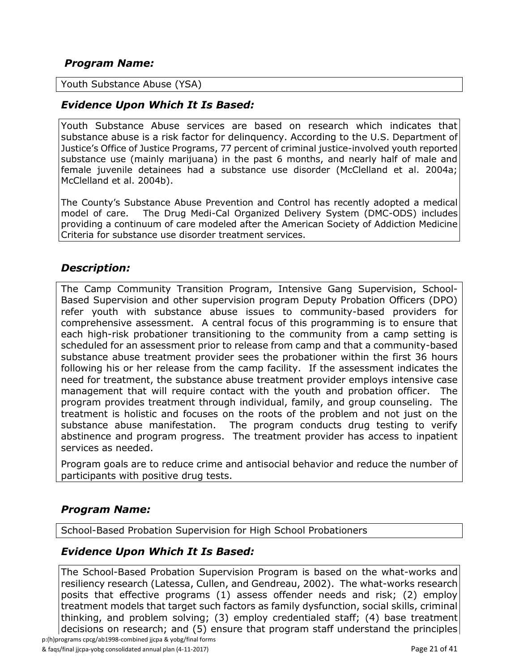# *Program Name:*

Youth Substance Abuse (YSA)

### *Evidence Upon Which It Is Based:*

Youth Substance Abuse services are based on research which indicates that substance abuse is a risk factor for delinquency. According to the U.S. Department of Justice's Office of Justice Programs, 77 percent of criminal justice-involved youth reported substance use (mainly marijuana) in the past 6 months, and nearly half of male and female juvenile detainees had a substance use disorder (McClelland et al. 2004a; McClelland et al. 2004b).

The County's Substance Abuse Prevention and Control has recently adopted a medical model of care. The Drug Medi-Cal Organized Delivery System (DMC-ODS) includes providing a continuum of care modeled after the American Society of Addiction Medicine Criteria for substance use disorder treatment services.

# *Description:*

The Camp Community Transition Program, Intensive Gang Supervision, School-Based Supervision and other supervision program Deputy Probation Officers (DPO) refer youth with substance abuse issues to community-based providers for comprehensive assessment. A central focus of this programming is to ensure that each high-risk probationer transitioning to the community from a camp setting is scheduled for an assessment prior to release from camp and that a community-based substance abuse treatment provider sees the probationer within the first 36 hours following his or her release from the camp facility. If the assessment indicates the need for treatment, the substance abuse treatment provider employs intensive case management that will require contact with the youth and probation officer. The program provides treatment through individual, family, and group counseling. The treatment is holistic and focuses on the roots of the problem and not just on the substance abuse manifestation. The program conducts drug testing to verify abstinence and program progress. The treatment provider has access to inpatient services as needed.

Program goals are to reduce crime and antisocial behavior and reduce the number of participants with positive drug tests.

# *Program Name:*

School-Based Probation Supervision for High School Probationers

# *Evidence Upon Which It Is Based:*

p:(h)programs cpcg/ab1998-combined jjcpa & yobg/final forms The School-Based Probation Supervision Program is based on the what-works and resiliency research (Latessa, Cullen, and Gendreau, 2002). The what-works research posits that effective programs (1) assess offender needs and risk; (2) employ treatment models that target such factors as family dysfunction, social skills, criminal thinking, and problem solving; (3) employ credentialed staff; (4) base treatment decisions on research; and (5) ensure that program staff understand the principles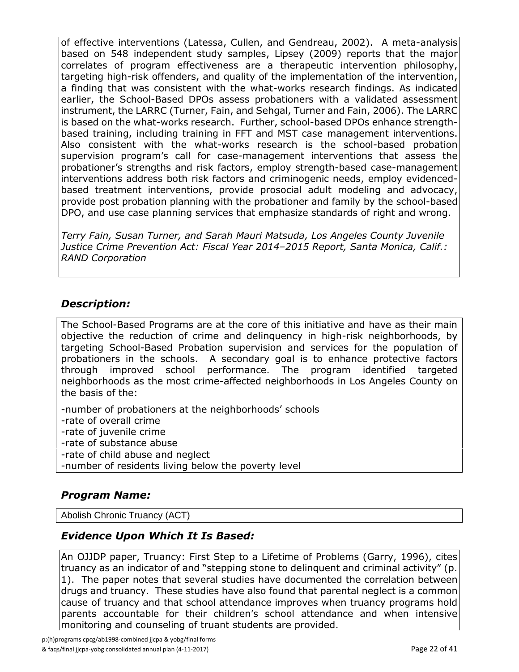of effective interventions (Latessa, Cullen, and Gendreau, 2002). A meta-analysis based on 548 independent study samples, Lipsey (2009) reports that the major correlates of program effectiveness are a therapeutic intervention philosophy, targeting high-risk offenders, and quality of the implementation of the intervention, a finding that was consistent with the what-works research findings. As indicated earlier, the School-Based DPOs assess probationers with a validated assessment instrument, the LARRC (Turner, Fain, and Sehgal, Turner and Fain, 2006). The LARRC is based on the what-works research. Further, school-based DPOs enhance strengthbased training, including training in FFT and MST case management interventions. Also consistent with the what-works research is the school-based probation supervision program's call for case-management interventions that assess the probationer's strengths and risk factors, employ strength-based case-management interventions address both risk factors and criminogenic needs, employ evidencedbased treatment interventions, provide prosocial adult modeling and advocacy, provide post probation planning with the probationer and family by the school-based DPO, and use case planning services that emphasize standards of right and wrong.

*Terry Fain, Susan Turner, and Sarah Mauri Matsuda, Los Angeles County Juvenile Justice Crime Prevention Act: Fiscal Year 2014–2015 Report, Santa Monica, Calif.: RAND Corporation*

# *Description:*

The School-Based Programs are at the core of this initiative and have as their main objective the reduction of crime and delinquency in high-risk neighborhoods, by targeting School-Based Probation supervision and services for the population of probationers in the schools. A secondary goal is to enhance protective factors through improved school performance. The program identified targeted neighborhoods as the most crime-affected neighborhoods in Los Angeles County on the basis of the:

-number of probationers at the neighborhoods' schools

-rate of overall crime

-rate of juvenile crime

-rate of substance abuse

-rate of child abuse and neglect

-number of residents living below the poverty level

# *Program Name:*

Abolish Chronic Truancy (ACT)

# *Evidence Upon Which It Is Based:*

An OJJDP paper, Truancy: First Step to a Lifetime of Problems (Garry, 1996), cites truancy as an indicator of and "stepping stone to delinquent and criminal activity" (p. 1). The paper notes that several studies have documented the correlation between drugs and truancy. These studies have also found that parental neglect is a common cause of truancy and that school attendance improves when truancy programs hold parents accountable for their children's school attendance and when intensive monitoring and counseling of truant students are provided.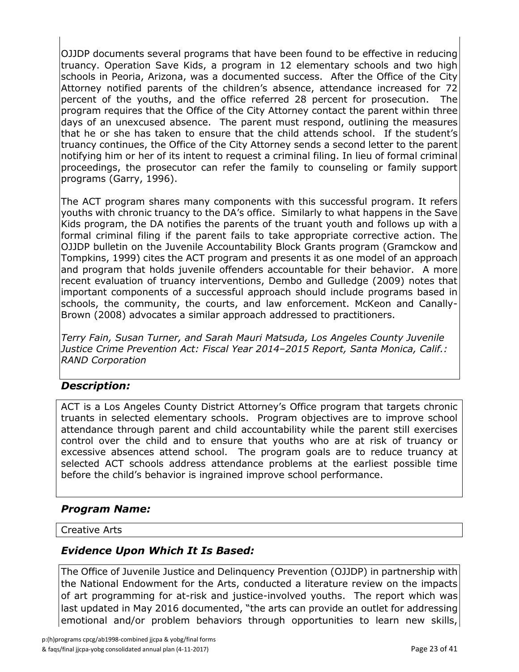OJJDP documents several programs that have been found to be effective in reducing truancy. Operation Save Kids, a program in 12 elementary schools and two high schools in Peoria, Arizona, was a documented success. After the Office of the City Attorney notified parents of the children's absence, attendance increased for 72 percent of the youths, and the office referred 28 percent for prosecution. The program requires that the Office of the City Attorney contact the parent within three days of an unexcused absence. The parent must respond, outlining the measures that he or she has taken to ensure that the child attends school. If the student's truancy continues, the Office of the City Attorney sends a second letter to the parent notifying him or her of its intent to request a criminal filing. In lieu of formal criminal proceedings, the prosecutor can refer the family to counseling or family support programs (Garry, 1996).

The ACT program shares many components with this successful program. It refers youths with chronic truancy to the DA's office. Similarly to what happens in the Save Kids program, the DA notifies the parents of the truant youth and follows up with a formal criminal filing if the parent fails to take appropriate corrective action. The OJJDP bulletin on the Juvenile Accountability Block Grants program (Gramckow and Tompkins, 1999) cites the ACT program and presents it as one model of an approach and program that holds juvenile offenders accountable for their behavior. A more recent evaluation of truancy interventions, Dembo and Gulledge (2009) notes that important components of a successful approach should include programs based in schools, the community, the courts, and law enforcement. McKeon and Canally-Brown (2008) advocates a similar approach addressed to practitioners.

*Terry Fain, Susan Turner, and Sarah Mauri Matsuda, Los Angeles County Juvenile Justice Crime Prevention Act: Fiscal Year 2014–2015 Report, Santa Monica, Calif.: RAND Corporation*

# *Description:*

ACT is a Los Angeles County District Attorney's Office program that targets chronic truants in selected elementary schools. Program objectives are to improve school attendance through parent and child accountability while the parent still exercises control over the child and to ensure that youths who are at risk of truancy or excessive absences attend school. The program goals are to reduce truancy at selected ACT schools address attendance problems at the earliest possible time before the child's behavior is ingrained improve school performance.

# *Program Name:*

Creative Arts

# *Evidence Upon Which It Is Based:*

The Office of Juvenile Justice and Delinquency Prevention (OJJDP) in partnership with the National Endowment for the Arts, conducted a literature review on the impacts of art programming for at-risk and justice-involved youths. The report which was last updated in May 2016 documented, "the arts can provide an outlet for addressing emotional and/or problem behaviors through opportunities to learn new skills,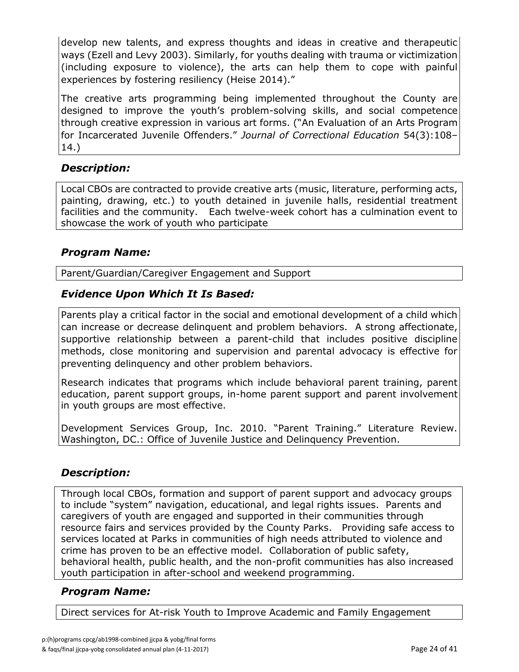develop new talents, and express thoughts and ideas in creative and therapeutic ways (Ezell and Levy 2003). Similarly, for youths dealing with trauma or victimization (including exposure to violence), the arts can help them to cope with painful experiences by fostering resiliency (Heise 2014)."

The creative arts programming being implemented throughout the County are designed to improve the youth's problem-solving skills, and social competence through creative expression in various art forms. ("An Evaluation of an Arts Program for Incarcerated Juvenile Offenders." *Journal of Correctional Education* 54(3):108– 14.)

# *Description:*

Local CBOs are contracted to provide creative arts (music, literature, performing acts, painting, drawing, etc.) to youth detained in juvenile halls, residential treatment facilities and the community. Each twelve-week cohort has a culmination event to showcase the work of youth who participate

# *Program Name:*

Parent/Guardian/Caregiver Engagement and Support

# *Evidence Upon Which It Is Based:*

Parents play a critical factor in the social and emotional development of a child which can increase or decrease delinquent and problem behaviors. A strong affectionate, supportive relationship between a parent-child that includes positive discipline methods, close monitoring and supervision and parental advocacy is effective for preventing delinquency and other problem behaviors.

Research indicates that programs which include behavioral parent training, parent education, parent support groups, in-home parent support and parent involvement in youth groups are most effective.

Development Services Group, Inc. 2010. "Parent Training." Literature Review. Washington, DC.: Office of Juvenile Justice and Delinquency Prevention.

# *Description:*

Through local CBOs, formation and support of parent support and advocacy groups to include "system" navigation, educational, and legal rights issues. Parents and caregivers of youth are engaged and supported in their communities through resource fairs and services provided by the County Parks. Providing safe access to services located at Parks in communities of high needs attributed to violence and crime has proven to be an effective model. Collaboration of public safety, behavioral health, public health, and the non-profit communities has also increased youth participation in after-school and weekend programming.

# *Program Name:*

Direct services for At-risk Youth to Improve Academic and Family Engagement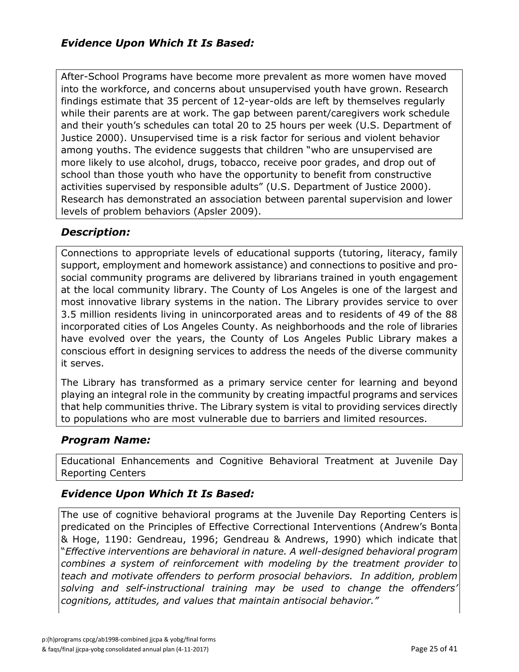After-School Programs have become more prevalent as more women have moved into the workforce, and concerns about unsupervised youth have grown. Research findings estimate that 35 percent of 12-year-olds are left by themselves regularly while their parents are at work. The gap between parent/caregivers work schedule and their youth's schedules can total 20 to 25 hours per week (U.S. Department of Justice 2000). Unsupervised time is a risk factor for serious and violent behavior among youths. The evidence suggests that children "who are unsupervised are more likely to use alcohol, drugs, tobacco, receive poor grades, and drop out of school than those youth who have the opportunity to benefit from constructive activities supervised by responsible adults" (U.S. Department of Justice 2000). Research has demonstrated an association between parental supervision and lower levels of problem behaviors (Apsler 2009).

# *Description:*

Connections to appropriate levels of educational supports (tutoring, literacy, family support, employment and homework assistance) and connections to positive and prosocial community programs are delivered by librarians trained in youth engagement at the local community library. The County of Los Angeles is one of the largest and most innovative library systems in the nation. The Library provides service to over 3.5 million residents living in unincorporated areas and to residents of 49 of the 88 incorporated cities of Los Angeles County. As neighborhoods and the role of libraries have evolved over the years, the County of Los Angeles Public Library makes a conscious effort in designing services to address the needs of the diverse community it serves.

The Library has transformed as a primary service center for learning and beyond playing an integral role in the community by creating impactful programs and services that help communities thrive. The Library system is vital to providing services directly to populations who are most vulnerable due to barriers and limited resources.

# *Program Name:*

Educational Enhancements and Cognitive Behavioral Treatment at Juvenile Day Reporting Centers

# *Evidence Upon Which It Is Based:*

The use of cognitive behavioral programs at the Juvenile Day Reporting Centers is predicated on the Principles of Effective Correctional Interventions (Andrew's Bonta & Hoge, 1190: Gendreau, 1996; Gendreau & Andrews, 1990) which indicate that "*Effective interventions are behavioral in nature. A well-designed behavioral program combines a system of reinforcement with modeling by the treatment provider to teach and motivate offenders to perform prosocial behaviors. In addition, problem solving and self-instructional training may be used to change the offenders' cognitions, attitudes, and values that maintain antisocial behavior."*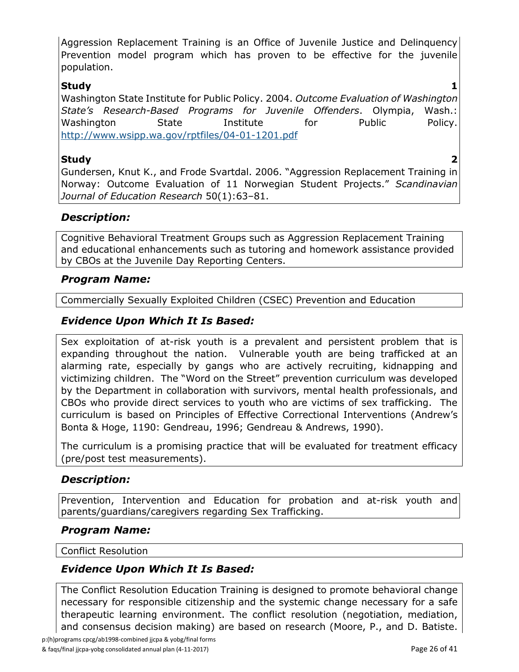Aggression Replacement Training is an Office of Juvenile Justice and Delinquency Prevention model program which has proven to be effective for the juvenile population.

#### **Study 1**

Washington State Institute for Public Policy. 2004. *Outcome Evaluation of Washington State's Research-Based Programs for Juvenile Offenders*. Olympia, Wash.: Washington State Institute for Public Policy. <http://www.wsipp.wa.gov/rptfiles/04-01-1201.pdf>

### **Study 2**

Gundersen, Knut K., and Frode Svartdal. 2006. "Aggression Replacement Training in Norway: Outcome Evaluation of 11 Norwegian Student Projects." *Scandinavian Journal of Education Research* 50(1):63–81.

# *Description:*

Cognitive Behavioral Treatment Groups such as Aggression Replacement Training and educational enhancements such as tutoring and homework assistance provided by CBOs at the Juvenile Day Reporting Centers.

# *Program Name:*

Commercially Sexually Exploited Children (CSEC) Prevention and Education

# *Evidence Upon Which It Is Based:*

Sex exploitation of at-risk youth is a prevalent and persistent problem that is expanding throughout the nation. Vulnerable youth are being trafficked at an alarming rate, especially by gangs who are actively recruiting, kidnapping and victimizing children. The "Word on the Street" prevention curriculum was developed by the Department in collaboration with survivors, mental health professionals, and CBOs who provide direct services to youth who are victims of sex trafficking. The curriculum is based on Principles of Effective Correctional Interventions (Andrew's Bonta & Hoge, 1190: Gendreau, 1996; Gendreau & Andrews, 1990).

The curriculum is a promising practice that will be evaluated for treatment efficacy (pre/post test measurements).

# *Description:*

Prevention, Intervention and Education for probation and at-risk youth and parents/guardians/caregivers regarding Sex Trafficking.

# *Program Name:*

Conflict Resolution

# *Evidence Upon Which It Is Based:*

The Conflict Resolution Education Training is designed to promote behavioral change necessary for responsible citizenship and the systemic change necessary for a safe therapeutic learning environment. The conflict resolution (negotiation, mediation, and consensus decision making) are based on research (Moore, P., and D. Batiste.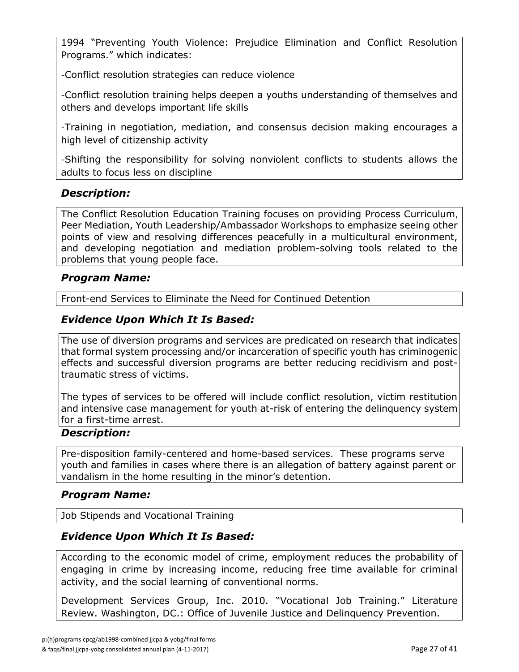1994 "Preventing Youth Violence: Prejudice Elimination and Conflict Resolution Programs." which indicates:

-Conflict resolution strategies can reduce violence

-Conflict resolution training helps deepen a youths understanding of themselves and others and develops important life skills

-Training in negotiation, mediation, and consensus decision making encourages a high level of citizenship activity

-Shifting the responsibility for solving nonviolent conflicts to students allows the adults to focus less on discipline

# *Description:*

The Conflict Resolution Education Training focuses on providing Process Curriculum, Peer Mediation, Youth Leadership/Ambassador Workshops to emphasize seeing other points of view and resolving differences peacefully in a multicultural environment, and developing negotiation and mediation problem-solving tools related to the problems that young people face.

#### *Program Name:*

Front-end Services to Eliminate the Need for Continued Detention

# *Evidence Upon Which It Is Based:*

The use of diversion programs and services are predicated on research that indicates that formal system processing and/or incarceration of specific youth has criminogenic effects and successful diversion programs are better reducing recidivism and posttraumatic stress of victims.

The types of services to be offered will include conflict resolution, victim restitution and intensive case management for youth at-risk of entering the delinquency system for a first-time arrest.

#### *Description:*

Pre-disposition family-centered and home-based services. These programs serve youth and families in cases where there is an allegation of battery against parent or vandalism in the home resulting in the minor's detention.

# *Program Name:*

Job Stipends and Vocational Training

# *Evidence Upon Which It Is Based:*

According to the economic model of crime, employment reduces the probability of engaging in crime by increasing income, reducing free time available for criminal activity, and the social learning of conventional norms.

Development Services Group, Inc. 2010. "Vocational Job Training." Literature Review. Washington, DC.: Office of Juvenile Justice and Delinquency Prevention.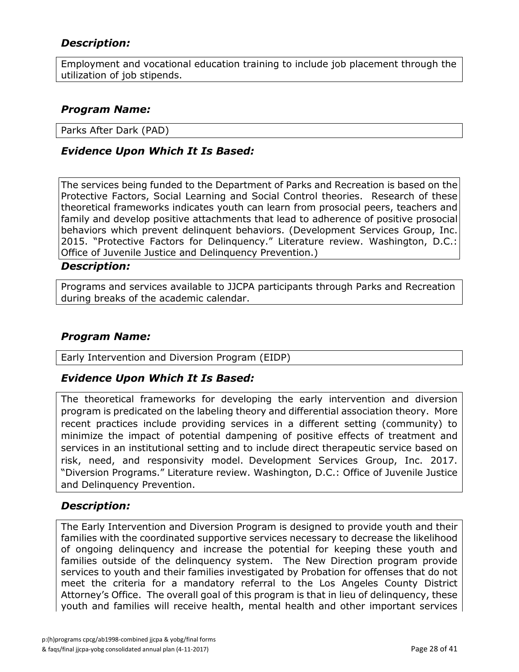# *Description:*

Employment and vocational education training to include job placement through the utilization of job stipends.

#### *Program Name:*

Parks After Dark (PAD)

### *Evidence Upon Which It Is Based:*

The services being funded to the Department of Parks and Recreation is based on the Protective Factors, Social Learning and Social Control theories. Research of these theoretical frameworks indicates youth can learn from prosocial peers, teachers and family and develop positive attachments that lead to adherence of positive prosocial behaviors which prevent delinquent behaviors. (Development Services Group, Inc. 2015. "Protective Factors for Delinquency." Literature review. Washington, D.C.: Office of Juvenile Justice and Delinquency Prevention.)

#### *Description:*

Programs and services available to JJCPA participants through Parks and Recreation during breaks of the academic calendar.

### *Program Name:*

Early Intervention and Diversion Program (EIDP)

#### *Evidence Upon Which It Is Based:*

The theoretical frameworks for developing the early intervention and diversion program is predicated on the labeling theory and differential association theory. More recent practices include providing services in a different setting (community) to minimize the impact of potential dampening of positive effects of treatment and services in an institutional setting and to include direct therapeutic service based on risk, need, and responsivity model. Development Services Group, Inc. 2017. "Diversion Programs." Literature review. Washington, D.C.: Office of Juvenile Justice and Delinquency Prevention.

#### *Description:*

The Early Intervention and Diversion Program is designed to provide youth and their families with the coordinated supportive services necessary to decrease the likelihood of ongoing delinquency and increase the potential for keeping these youth and families outside of the delinquency system. The New Direction program provide services to youth and their families investigated by Probation for offenses that do not meet the criteria for a mandatory referral to the Los Angeles County District Attorney's Office. The overall goal of this program is that in lieu of delinquency, these youth and families will receive health, mental health and other important services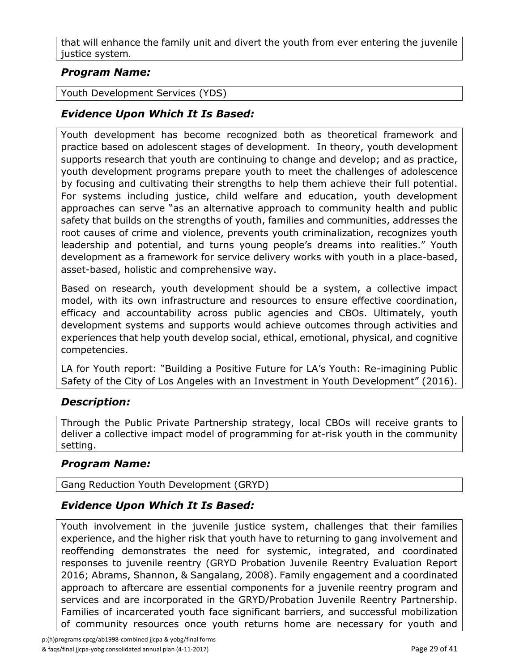that will enhance the family unit and divert the youth from ever entering the juvenile justice system.

# *Program Name:*

#### Youth Development Services (YDS)

# *Evidence Upon Which It Is Based:*

Youth development has become recognized both as theoretical framework and practice based on adolescent stages of development. In theory, youth development supports research that youth are continuing to change and develop; and as practice, youth development programs prepare youth to meet the challenges of adolescence by focusing and cultivating their strengths to help them achieve their full potential. For systems including justice, child welfare and education, youth development approaches can serve "as an alternative approach to community health and public safety that builds on the strengths of youth, families and communities, addresses the root causes of crime and violence, prevents youth criminalization, recognizes youth leadership and potential, and turns young people's dreams into realities." Youth development as a framework for service delivery works with youth in a place-based, asset-based, holistic and comprehensive way.

Based on research, youth development should be a system, a collective impact model, with its own infrastructure and resources to ensure effective coordination, efficacy and accountability across public agencies and CBOs. Ultimately, youth development systems and supports would achieve outcomes through activities and experiences that help youth develop social, ethical, emotional, physical, and cognitive competencies.

LA for Youth report: "Building a Positive Future for LA's Youth: Re-imagining Public Safety of the City of Los Angeles with an Investment in Youth Development" (2016).

# *Description:*

Through the Public Private Partnership strategy, local CBOs will receive grants to deliver a collective impact model of programming for at-risk youth in the community setting.

# *Program Name:*

Gang Reduction Youth Development (GRYD)

# *Evidence Upon Which It Is Based:*

Youth involvement in the juvenile justice system, challenges that their families experience, and the higher risk that youth have to returning to gang involvement and reoffending demonstrates the need for systemic, integrated, and coordinated responses to juvenile reentry (GRYD Probation Juvenile Reentry Evaluation Report 2016; Abrams, Shannon, & Sangalang, 2008). Family engagement and a coordinated approach to aftercare are essential components for a juvenile reentry program and services and are incorporated in the GRYD/Probation Juvenile Reentry Partnership. Families of incarcerated youth face significant barriers, and successful mobilization of community resources once youth returns home are necessary for youth and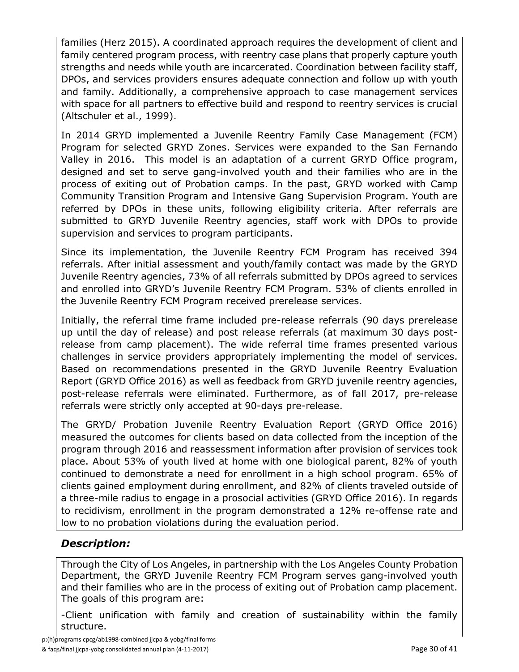families (Herz 2015). A coordinated approach requires the development of client and family centered program process, with reentry case plans that properly capture youth strengths and needs while youth are incarcerated. Coordination between facility staff, DPOs, and services providers ensures adequate connection and follow up with youth and family. Additionally, a comprehensive approach to case management services with space for all partners to effective build and respond to reentry services is crucial (Altschuler et al., 1999).

In 2014 GRYD implemented a Juvenile Reentry Family Case Management (FCM) Program for selected GRYD Zones. Services were expanded to the San Fernando Valley in 2016. This model is an adaptation of a current GRYD Office program, designed and set to serve gang-involved youth and their families who are in the process of exiting out of Probation camps. In the past, GRYD worked with Camp Community Transition Program and Intensive Gang Supervision Program. Youth are referred by DPOs in these units, following eligibility criteria. After referrals are submitted to GRYD Juvenile Reentry agencies, staff work with DPOs to provide supervision and services to program participants.

Since its implementation, the Juvenile Reentry FCM Program has received 394 referrals. After initial assessment and youth/family contact was made by the GRYD Juvenile Reentry agencies, 73% of all referrals submitted by DPOs agreed to services and enrolled into GRYD's Juvenile Reentry FCM Program. 53% of clients enrolled in the Juvenile Reentry FCM Program received prerelease services.

Initially, the referral time frame included pre-release referrals (90 days prerelease up until the day of release) and post release referrals (at maximum 30 days postrelease from camp placement). The wide referral time frames presented various challenges in service providers appropriately implementing the model of services. Based on recommendations presented in the GRYD Juvenile Reentry Evaluation Report (GRYD Office 2016) as well as feedback from GRYD juvenile reentry agencies, post-release referrals were eliminated. Furthermore, as of fall 2017, pre-release referrals were strictly only accepted at 90-days pre-release.

The GRYD/ Probation Juvenile Reentry Evaluation Report (GRYD Office 2016) measured the outcomes for clients based on data collected from the inception of the program through 2016 and reassessment information after provision of services took place. About 53% of youth lived at home with one biological parent, 82% of youth continued to demonstrate a need for enrollment in a high school program. 65% of clients gained employment during enrollment, and 82% of clients traveled outside of a three-mile radius to engage in a prosocial activities (GRYD Office 2016). In regards to recidivism, enrollment in the program demonstrated a 12% re-offense rate and low to no probation violations during the evaluation period.

# *Description:*

Through the City of Los Angeles, in partnership with the Los Angeles County Probation Department, the GRYD Juvenile Reentry FCM Program serves gang-involved youth and their families who are in the process of exiting out of Probation camp placement. The goals of this program are:

-Client unification with family and creation of sustainability within the family structure.

p:(h)programs cpcg/ab1998-combined jjcpa & yobg/final forms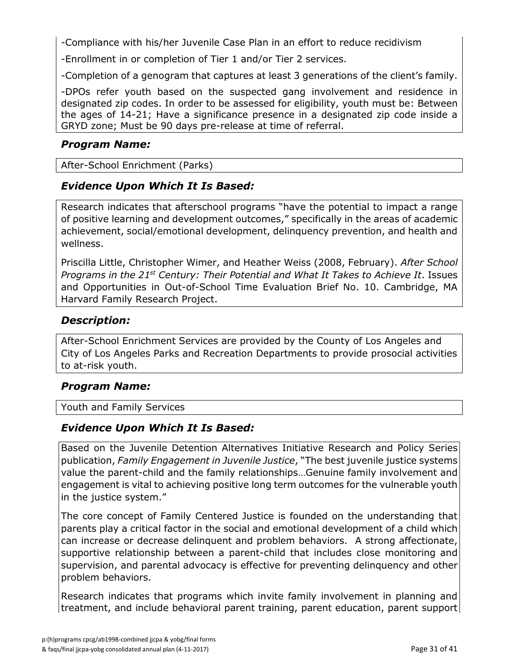-Compliance with his/her Juvenile Case Plan in an effort to reduce recidivism

-Enrollment in or completion of Tier 1 and/or Tier 2 services.

-Completion of a genogram that captures at least 3 generations of the client's family.

-DPOs refer youth based on the suspected gang involvement and residence in designated zip codes. In order to be assessed for eligibility, youth must be: Between the ages of 14-21; Have a significance presence in a designated zip code inside a GRYD zone; Must be 90 days pre-release at time of referral.

### *Program Name:*

After-School Enrichment (Parks)

# *Evidence Upon Which It Is Based:*

Research indicates that afterschool programs "have the potential to impact a range of positive learning and development outcomes," specifically in the areas of academic achievement, social/emotional development, delinquency prevention, and health and wellness.

Priscilla Little, Christopher Wimer, and Heather Weiss (2008, February). *After School Programs in the 21st Century: Their Potential and What It Takes to Achieve It*. Issues and Opportunities in Out-of-School Time Evaluation Brief No. 10. Cambridge, MA Harvard Family Research Project.

# *Description:*

After-School Enrichment Services are provided by the County of Los Angeles and City of Los Angeles Parks and Recreation Departments to provide prosocial activities to at-risk youth.

# *Program Name:*

Youth and Family Services

# *Evidence Upon Which It Is Based:*

Based on the Juvenile Detention Alternatives Initiative Research and Policy Series publication, *Family Engagement in Juvenile Justice*, "The best juvenile justice systems value the parent-child and the family relationships…Genuine family involvement and engagement is vital to achieving positive long term outcomes for the vulnerable youth in the justice system."

The core concept of Family Centered Justice is founded on the understanding that parents play a critical factor in the social and emotional development of a child which can increase or decrease delinquent and problem behaviors. A strong affectionate, supportive relationship between a parent-child that includes close monitoring and supervision, and parental advocacy is effective for preventing delinquency and other problem behaviors.

Research indicates that programs which invite family involvement in planning and treatment, and include behavioral parent training, parent education, parent support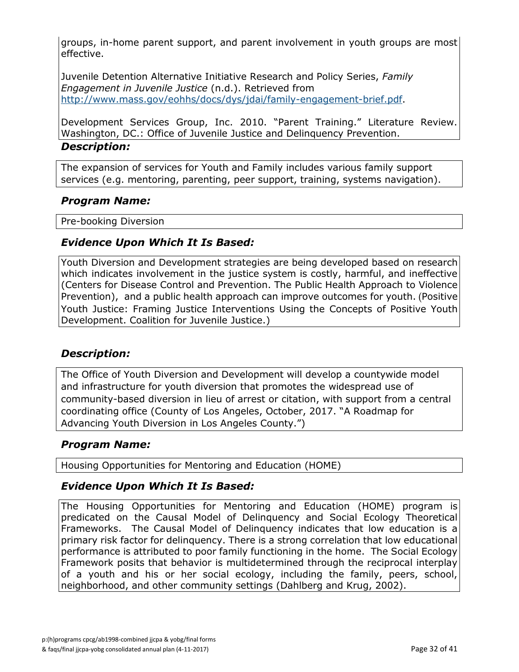groups, in-home parent support, and parent involvement in youth groups are most effective.

Juvenile Detention Alternative Initiative Research and Policy Series, *Family Engagement in Juvenile Justice* (n.d.). Retrieved from [http://www.mass.gov/eohhs/docs/dys/jdai/family-engagement-brief.pdf.](http://www.mass.gov/eohhs/docs/dys/jdai/family-engagement-brief.pdf)

Development Services Group, Inc. 2010. "Parent Training." Literature Review. Washington, DC.: Office of Juvenile Justice and Delinquency Prevention.

#### *Description:*

The expansion of services for Youth and Family includes various family support services (e.g. mentoring, parenting, peer support, training, systems navigation).

#### *Program Name:*

Pre-booking Diversion

# *Evidence Upon Which It Is Based:*

Youth Diversion and Development strategies are being developed based on research which indicates involvement in the justice system is costly, harmful, and ineffective (Centers for Disease Control and Prevention. The Public Health Approach to Violence Prevention), and a public health approach can improve outcomes for youth. (Positive Youth Justice: Framing Justice Interventions Using the Concepts of Positive Youth Development. Coalition for Juvenile Justice.)

# *Description:*

The Office of Youth Diversion and Development will develop a countywide model and infrastructure for youth diversion that promotes the widespread use of community-based diversion in lieu of arrest or citation, with support from a central coordinating office (County of Los Angeles, October, 2017. "A Roadmap for Advancing Youth Diversion in Los Angeles County.")

# *Program Name:*

Housing Opportunities for Mentoring and Education (HOME)

# *Evidence Upon Which It Is Based:*

The Housing Opportunities for Mentoring and Education (HOME) program is predicated on the Causal Model of Delinquency and Social Ecology Theoretical Frameworks. The Causal Model of Delinquency indicates that low education is a primary risk factor for delinquency. There is a strong correlation that low educational performance is attributed to poor family functioning in the home. The Social Ecology Framework posits that behavior is multidetermined through the reciprocal interplay of a youth and his or her social ecology, including the family, peers, school, neighborhood, and other community settings (Dahlberg and Krug, 2002).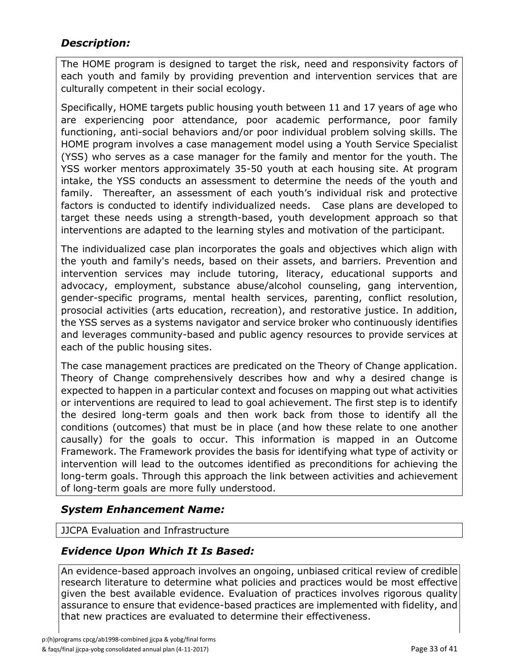# *Description:*

The HOME program is designed to target the risk, need and responsivity factors of each youth and family by providing prevention and intervention services that are culturally competent in their social ecology.

Specifically, HOME targets public housing youth between 11 and 17 years of age who are experiencing poor attendance, poor academic performance, poor family functioning, anti-social behaviors and/or poor individual problem solving skills. The HOME program involves a case management model using a Youth Service Specialist (YSS) who serves as a case manager for the family and mentor for the youth. The YSS worker mentors approximately 35-50 youth at each housing site. At program intake, the YSS conducts an assessment to determine the needs of the youth and family. Thereafter, an assessment of each youth's individual risk and protective factors is conducted to identify individualized needs. Case plans are developed to target these needs using a strength-based, youth development approach so that interventions are adapted to the learning styles and motivation of the participant.

The individualized case plan incorporates the goals and objectives which align with the youth and family's needs, based on their assets, and barriers. Prevention and intervention services may include tutoring, literacy, educational supports and advocacy, employment, substance abuse/alcohol counseling, gang intervention, gender-specific programs, mental health services, parenting, conflict resolution, prosocial activities (arts education, recreation), and restorative justice. In addition, the YSS serves as a systems navigator and service broker who continuously identifies and leverages community-based and public agency resources to provide services at each of the public housing sites.

The case management practices are predicated on the Theory of Change application. Theory of Change comprehensively describes how and why a desired change is expected to happen in a particular context and focuses on mapping out what activities or interventions are required to lead to goal achievement. The first step is to identify the desired long-term goals and then work back from those to identify all the conditions (outcomes) that must be in place (and how these relate to one another causally) for the goals to occur. This information is mapped in an Outcome Framework. The Framework provides the basis for identifying what type of activity or intervention will lead to the outcomes identified as preconditions for achieving the long-term goals. Through this approach the link between activities and achievement of long-term goals are more fully understood.

# *System Enhancement Name:*

JJCPA Evaluation and Infrastructure

# *Evidence Upon Which It Is Based:*

An evidence-based approach involves an ongoing, unbiased critical review of credible research literature to determine what policies and practices would be most effective given the best available evidence. Evaluation of practices involves rigorous quality assurance to ensure that evidence-based practices are implemented with fidelity, and that new practices are evaluated to determine their effectiveness.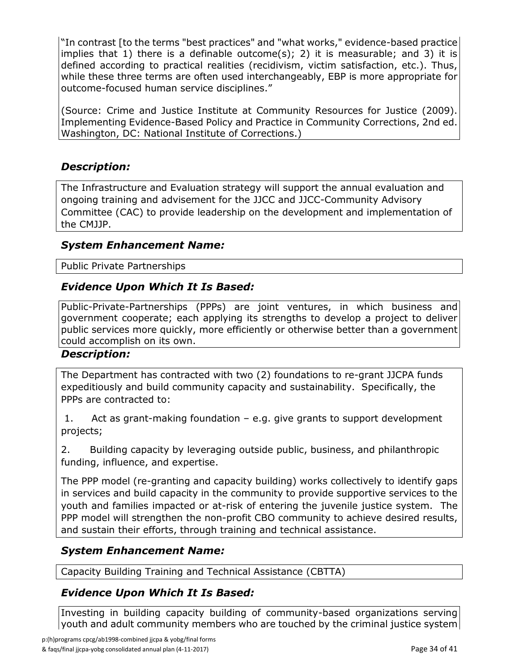"In contrast [to the terms "best practices" and "what works," evidence-based practice implies that 1) there is a definable outcome(s); 2) it is measurable; and 3) it is defined according to practical realities (recidivism, victim satisfaction, etc.). Thus, while these three terms are often used interchangeably, EBP is more appropriate for outcome-focused human service disciplines."

(Source: Crime and Justice Institute at Community Resources for Justice (2009). Implementing Evidence-Based Policy and Practice in Community Corrections, 2nd ed. Washington, DC: National Institute of Corrections.)

# *Description:*

The Infrastructure and Evaluation strategy will support the annual evaluation and ongoing training and advisement for the JJCC and JJCC-Community Advisory Committee (CAC) to provide leadership on the development and implementation of the CMJJP.

# *System Enhancement Name:*

Public Private Partnerships

# *Evidence Upon Which It Is Based:*

Public-Private-Partnerships (PPPs) are joint ventures, in which business and government cooperate; each applying its strengths to develop a project to deliver public services more quickly, more efficiently or otherwise better than a government could accomplish on its own.

#### *Description:*

The Department has contracted with two (2) foundations to re-grant JJCPA funds expeditiously and build community capacity and sustainability. Specifically, the PPPs are contracted to:

1. Act as grant-making foundation – e.g. give grants to support development projects;

2. Building capacity by leveraging outside public, business, and philanthropic funding, influence, and expertise.

The PPP model (re-granting and capacity building) works collectively to identify gaps in services and build capacity in the community to provide supportive services to the youth and families impacted or at-risk of entering the juvenile justice system. The PPP model will strengthen the non-profit CBO community to achieve desired results, and sustain their efforts, through training and technical assistance.

# *System Enhancement Name:*

Capacity Building Training and Technical Assistance (CBTTA)

# *Evidence Upon Which It Is Based:*

Investing in building capacity building of community-based organizations serving youth and adult community members who are touched by the criminal justice system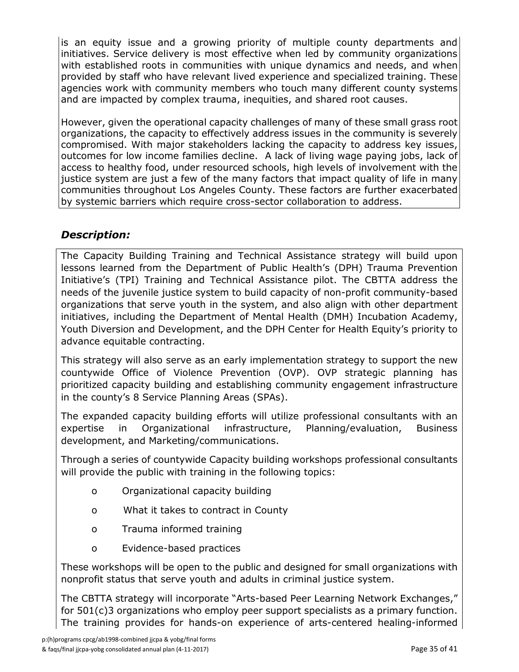is an equity issue and a growing priority of multiple county departments and initiatives. Service delivery is most effective when led by community organizations with established roots in communities with unique dynamics and needs, and when provided by staff who have relevant lived experience and specialized training. These agencies work with community members who touch many different county systems and are impacted by complex trauma, inequities, and shared root causes.

However, given the operational capacity challenges of many of these small grass root organizations, the capacity to effectively address issues in the community is severely compromised. With major stakeholders lacking the capacity to address key issues, outcomes for low income families decline. A lack of living wage paying jobs, lack of access to healthy food, under resourced schools, high levels of involvement with the justice system are just a few of the many factors that impact quality of life in many communities throughout Los Angeles County. These factors are further exacerbated by systemic barriers which require cross-sector collaboration to address.

# *Description:*

The Capacity Building Training and Technical Assistance strategy will build upon lessons learned from the Department of Public Health's (DPH) Trauma Prevention Initiative's (TPI) Training and Technical Assistance pilot. The CBTTA address the needs of the juvenile justice system to build capacity of non-profit community-based organizations that serve youth in the system, and also align with other department initiatives, including the Department of Mental Health (DMH) Incubation Academy, Youth Diversion and Development, and the DPH Center for Health Equity's priority to advance equitable contracting.

This strategy will also serve as an early implementation strategy to support the new countywide Office of Violence Prevention (OVP). OVP strategic planning has prioritized capacity building and establishing community engagement infrastructure in the county's 8 Service Planning Areas (SPAs).

The expanded capacity building efforts will utilize professional consultants with an expertise in Organizational infrastructure, Planning/evaluation, Business development, and Marketing/communications.

Through a series of countywide Capacity building workshops professional consultants will provide the public with training in the following topics:

- o Organizational capacity building
- o What it takes to contract in County
- o Trauma informed training
- o Evidence-based practices

These workshops will be open to the public and designed for small organizations with nonprofit status that serve youth and adults in criminal justice system.

The CBTTA strategy will incorporate "Arts-based Peer Learning Network Exchanges," for 501(c)3 organizations who employ peer support specialists as a primary function. The training provides for hands-on experience of arts-centered healing-informed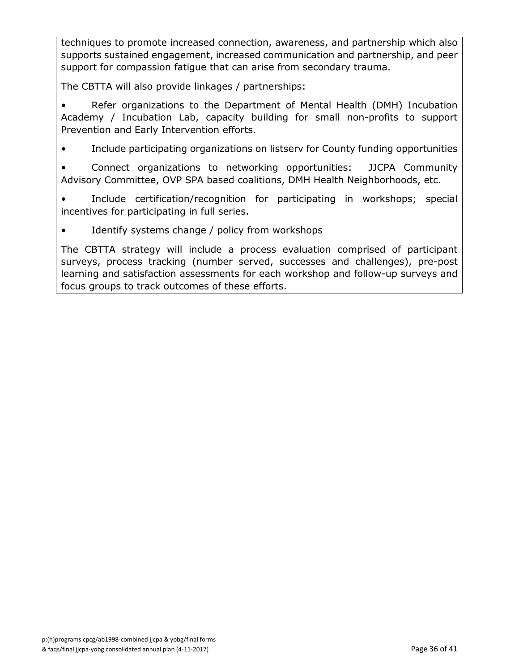techniques to promote increased connection, awareness, and partnership which also supports sustained engagement, increased communication and partnership, and peer support for compassion fatigue that can arise from secondary trauma.

The CBTTA will also provide linkages / partnerships:

• Refer organizations to the Department of Mental Health (DMH) Incubation Academy / Incubation Lab, capacity building for small non-profits to support Prevention and Early Intervention efforts.

• Include participating organizations on listserv for County funding opportunities

• Connect organizations to networking opportunities: JJCPA Community Advisory Committee, OVP SPA based coalitions, DMH Health Neighborhoods, etc.

Include certification/recognition for participating in workshops; special incentives for participating in full series.

• Identify systems change / policy from workshops

The CBTTA strategy will include a process evaluation comprised of participant surveys, process tracking (number served, successes and challenges), pre-post learning and satisfaction assessments for each workshop and follow-up surveys and focus groups to track outcomes of these efforts.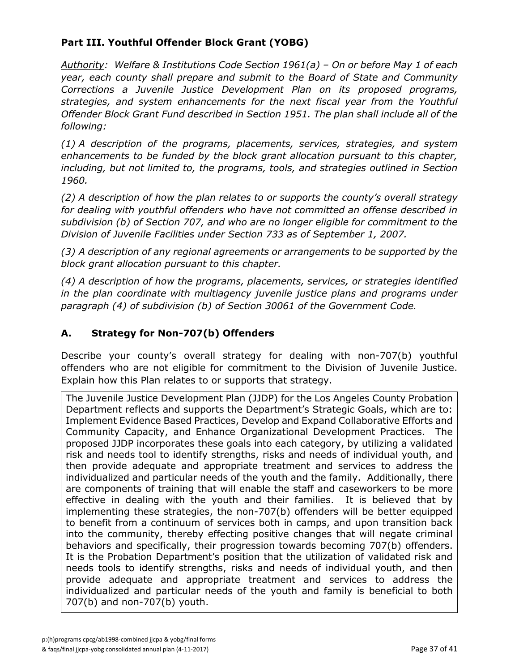# **Part III. Youthful Offender Block Grant (YOBG)**

*Authority: Welfare & Institutions Code Section 1961(a) – On or before May 1 of each year, each county shall prepare and submit to the Board of State and Community Corrections a Juvenile Justice Development Plan on its proposed programs, strategies, and system enhancements for the next fiscal year from the Youthful Offender Block Grant Fund described in Section 1951. The plan shall include all of the following:*

*(1) A description of the programs, placements, services, strategies, and system enhancements to be funded by the block grant allocation pursuant to this chapter, including, but not limited to, the programs, tools, and strategies outlined in Section 1960.*

*(2) A description of how the plan relates to or supports the county's overall strategy for dealing with youthful offenders who have not committed an offense described in subdivision (b) of Section 707, and who are no longer eligible for commitment to the Division of Juvenile Facilities under Section 733 as of September 1, 2007.*

*(3) A description of any regional agreements or arrangements to be supported by the block grant allocation pursuant to this chapter.*

*(4) A description of how the programs, placements, services, or strategies identified in the plan coordinate with multiagency juvenile justice plans and programs under paragraph (4) of subdivision (b) of Section 30061 of the Government Code.*

# **A. Strategy for Non-707(b) Offenders**

Describe your county's overall strategy for dealing with non-707(b) youthful offenders who are not eligible for commitment to the Division of Juvenile Justice. Explain how this Plan relates to or supports that strategy.

The Juvenile Justice Development Plan (JJDP) for the Los Angeles County Probation Department reflects and supports the Department's Strategic Goals, which are to: Implement Evidence Based Practices, Develop and Expand Collaborative Efforts and Community Capacity, and Enhance Organizational Development Practices. The proposed JJDP incorporates these goals into each category, by utilizing a validated risk and needs tool to identify strengths, risks and needs of individual youth, and then provide adequate and appropriate treatment and services to address the individualized and particular needs of the youth and the family. Additionally, there are components of training that will enable the staff and caseworkers to be more effective in dealing with the youth and their families. It is believed that by implementing these strategies, the non-707(b) offenders will be better equipped to benefit from a continuum of services both in camps, and upon transition back into the community, thereby effecting positive changes that will negate criminal behaviors and specifically, their progression towards becoming 707(b) offenders. It is the Probation Department's position that the utilization of validated risk and needs tools to identify strengths, risks and needs of individual youth, and then provide adequate and appropriate treatment and services to address the individualized and particular needs of the youth and family is beneficial to both 707(b) and non-707(b) youth.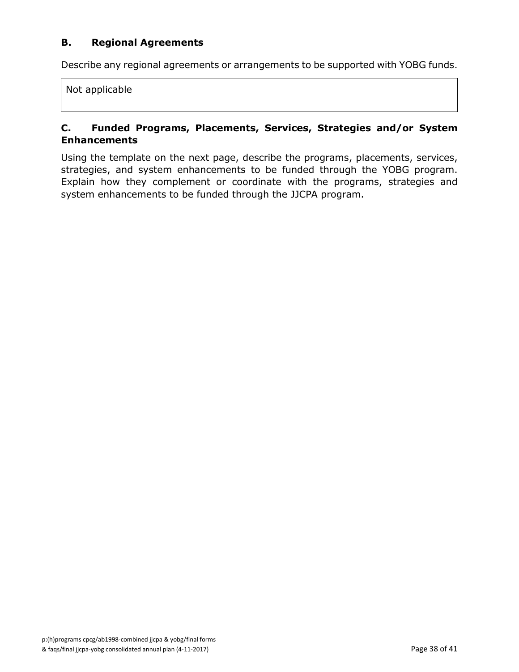#### **B. Regional Agreements**

Describe any regional agreements or arrangements to be supported with YOBG funds.

Not applicable

### **C. Funded Programs, Placements, Services, Strategies and/or System Enhancements**

Using the template on the next page, describe the programs, placements, services, strategies, and system enhancements to be funded through the YOBG program. Explain how they complement or coordinate with the programs, strategies and system enhancements to be funded through the JJCPA program.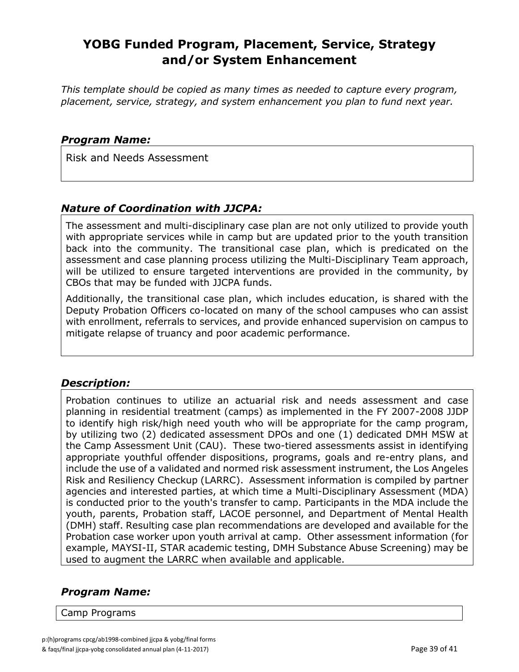# **YOBG Funded Program, Placement, Service, Strategy and/or System Enhancement**

*This template should be copied as many times as needed to capture every program, placement, service, strategy, and system enhancement you plan to fund next year.*

#### *Program Name:*

Risk and Needs Assessment

#### *Nature of Coordination with JJCPA:*

The assessment and multi-disciplinary case plan are not only utilized to provide youth with appropriate services while in camp but are updated prior to the youth transition back into the community. The transitional case plan, which is predicated on the assessment and case planning process utilizing the Multi-Disciplinary Team approach, will be utilized to ensure targeted interventions are provided in the community, by CBOs that may be funded with JJCPA funds.

Additionally, the transitional case plan, which includes education, is shared with the Deputy Probation Officers co-located on many of the school campuses who can assist with enrollment, referrals to services, and provide enhanced supervision on campus to mitigate relapse of truancy and poor academic performance.

#### *Description:*

Probation continues to utilize an actuarial risk and needs assessment and case planning in residential treatment (camps) as implemented in the FY 2007-2008 JJDP to identify high risk/high need youth who will be appropriate for the camp program, by utilizing two (2) dedicated assessment DPOs and one (1) dedicated DMH MSW at the Camp Assessment Unit (CAU). These two-tiered assessments assist in identifying appropriate youthful offender dispositions, programs, goals and re-entry plans, and include the use of a validated and normed risk assessment instrument, the Los Angeles Risk and Resiliency Checkup (LARRC). Assessment information is compiled by partner agencies and interested parties, at which time a Multi-Disciplinary Assessment (MDA) is conducted prior to the youth's transfer to camp. Participants in the MDA include the youth, parents, Probation staff, LACOE personnel, and Department of Mental Health (DMH) staff. Resulting case plan recommendations are developed and available for the Probation case worker upon youth arrival at camp. Other assessment information (for example, MAYSI-II, STAR academic testing, DMH Substance Abuse Screening) may be used to augment the LARRC when available and applicable.

# *Program Name:*

Camp Programs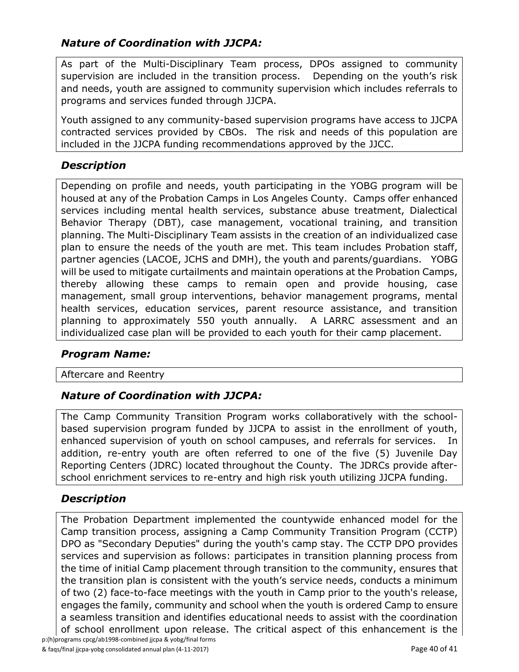# *Nature of Coordination with JJCPA:*

As part of the Multi-Disciplinary Team process, DPOs assigned to community supervision are included in the transition process. Depending on the youth's risk and needs, youth are assigned to community supervision which includes referrals to programs and services funded through JJCPA.

Youth assigned to any community-based supervision programs have access to JJCPA contracted services provided by CBOs. The risk and needs of this population are included in the JJCPA funding recommendations approved by the JJCC.

# *Description*

Depending on profile and needs, youth participating in the YOBG program will be housed at any of the Probation Camps in Los Angeles County. Camps offer enhanced services including mental health services, substance abuse treatment, Dialectical Behavior Therapy (DBT), case management, vocational training, and transition planning. The Multi-Disciplinary Team assists in the creation of an individualized case plan to ensure the needs of the youth are met. This team includes Probation staff, partner agencies (LACOE, JCHS and DMH), the youth and parents/guardians. YOBG will be used to mitigate curtailments and maintain operations at the Probation Camps, thereby allowing these camps to remain open and provide housing, case management, small group interventions, behavior management programs, mental health services, education services, parent resource assistance, and transition planning to approximately 550 youth annually. A LARRC assessment and an individualized case plan will be provided to each youth for their camp placement.

# *Program Name:*

#### Aftercare and Reentry

# *Nature of Coordination with JJCPA:*

The Camp Community Transition Program works collaboratively with the schoolbased supervision program funded by JJCPA to assist in the enrollment of youth, enhanced supervision of youth on school campuses, and referrals for services. In addition, re-entry youth are often referred to one of the five (5) Juvenile Day Reporting Centers (JDRC) located throughout the County. The JDRCs provide afterschool enrichment services to re-entry and high risk youth utilizing JJCPA funding.

# *Description*

p:(h)programs cpcg/ab1998-combined jjcpa & yobg/final forms The Probation Department implemented the countywide enhanced model for the Camp transition process, assigning a Camp Community Transition Program (CCTP) DPO as "Secondary Deputies" during the youth's camp stay. The CCTP DPO provides services and supervision as follows: participates in transition planning process from the time of initial Camp placement through transition to the community, ensures that the transition plan is consistent with the youth's service needs, conducts a minimum of two (2) face-to-face meetings with the youth in Camp prior to the youth's release, engages the family, community and school when the youth is ordered Camp to ensure a seamless transition and identifies educational needs to assist with the coordination of school enrollment upon release. The critical aspect of this enhancement is the